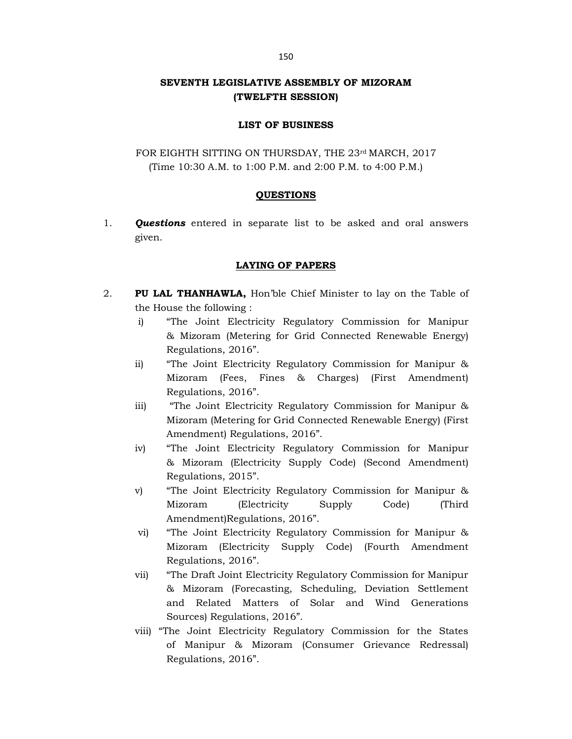## SEVENTH LEGISLATIVE ASSEMBLY OF MIZORAM (TWELFTH SESSION)

#### LIST OF BUSINESS

FOR EIGHTH SITTING ON THURSDAY, THE 23rd MARCH, 2017 (Time 10:30 A.M. to 1:00 P.M. and 2:00 P.M. to 4:00 P.M.)

## **QUESTIONS**

1. **Questions** entered in separate list to be asked and oral answers given.

## LAYING OF PAPERS

- 2. PU LAL THANHAWLA, Hon'ble Chief Minister to lay on the Table of the House the following :
	- i) "The Joint Electricity Regulatory Commission for Manipur & Mizoram (Metering for Grid Connected Renewable Energy) Regulations, 2016".
	- ii) "The Joint Electricity Regulatory Commission for Manipur & Mizoram (Fees, Fines & Charges) (First Amendment) Regulations, 2016".
	- iii) "The Joint Electricity Regulatory Commission for Manipur & Mizoram (Metering for Grid Connected Renewable Energy) (First Amendment) Regulations, 2016".
	- iv) "The Joint Electricity Regulatory Commission for Manipur & Mizoram (Electricity Supply Code) (Second Amendment) Regulations, 2015".
	- v) "The Joint Electricity Regulatory Commission for Manipur & Mizoram (Electricity Supply Code) (Third Amendment)Regulations, 2016".
	- vi) "The Joint Electricity Regulatory Commission for Manipur & Mizoram (Electricity Supply Code) (Fourth Amendment Regulations, 2016".
	- vii) "The Draft Joint Electricity Regulatory Commission for Manipur & Mizoram (Forecasting, Scheduling, Deviation Settlement and Related Matters of Solar and Wind Generations Sources) Regulations, 2016".
	- viii) "The Joint Electricity Regulatory Commission for the States of Manipur & Mizoram (Consumer Grievance Redressal) Regulations, 2016".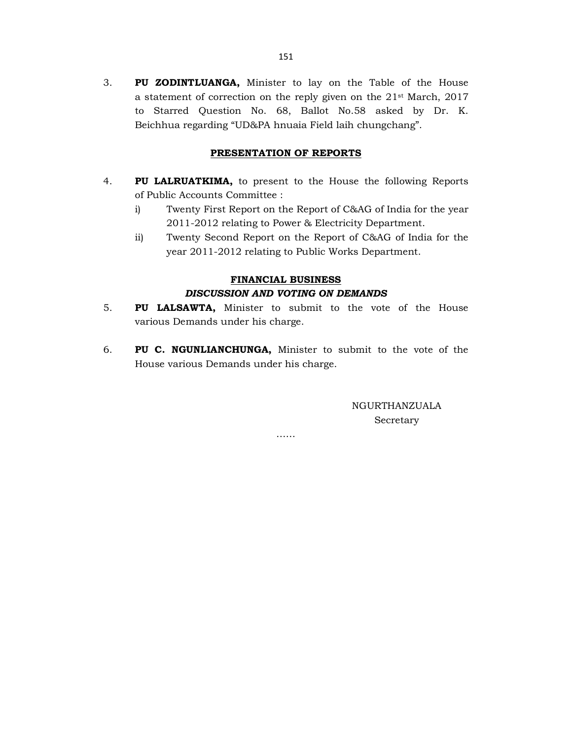3. PU ZODINTLUANGA, Minister to lay on the Table of the House a statement of correction on the reply given on the 21st March, 2017 to Starred Question No. 68, Ballot No.58 asked by Dr. K. Beichhua regarding "UD&PA hnuaia Field laih chungchang".

## PRESENTATION OF REPORTS

- 4. PU LALRUATKIMA, to present to the House the following Reports of Public Accounts Committee :
	- i) Twenty First Report on the Report of C&AG of India for the year 2011-2012 relating to Power & Electricity Department.
	- ii) Twenty Second Report on the Report of C&AG of India for the year 2011-2012 relating to Public Works Department.

# FINANCIAL BUSINESS DISCUSSION AND VOTING ON DEMANDS

- 5. PU LALSAWTA, Minister to submit to the vote of the House various Demands under his charge.
- 6. PU C. NGUNLIANCHUNGA, Minister to submit to the vote of the House various Demands under his charge.

NGURTHANZUALA Secretary

……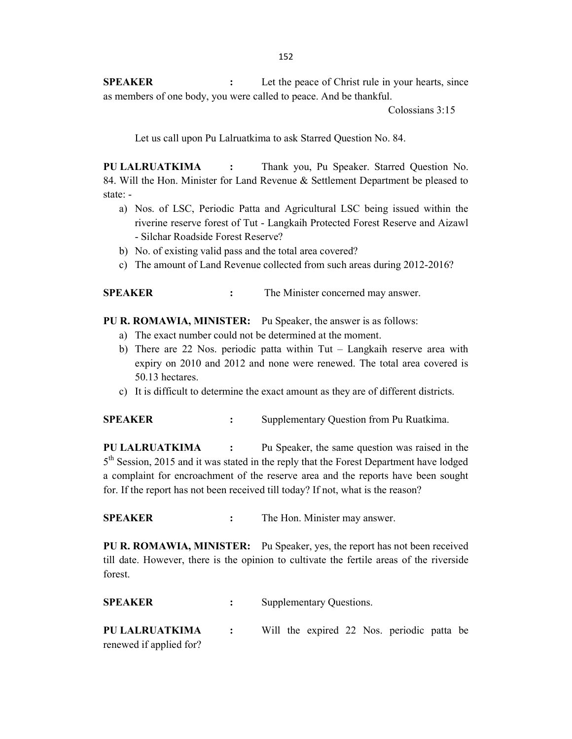SPEAKER : Let the peace of Christ rule in your hearts, since as members of one body, you were called to peace. And be thankful.

Colossians 3:15

Let us call upon Pu Lalruatkima to ask Starred Question No. 84.

PU LALRUATKIMA : Thank you, Pu Speaker. Starred Question No. 84. Will the Hon. Minister for Land Revenue & Settlement Department be pleased to state: -

- a) Nos. of LSC, Periodic Patta and Agricultural LSC being issued within the riverine reserve forest of Tut - Langkaih Protected Forest Reserve and Aizawl - Silchar Roadside Forest Reserve?
- b) No. of existing valid pass and the total area covered?
- c) The amount of Land Revenue collected from such areas during 2012-2016?

SPEAKER : The Minister concerned may answer.

PU R. ROMAWIA, MINISTER: Pu Speaker, the answer is as follows:

- a) The exact number could not be determined at the moment.
- b) There are 22 Nos. periodic patta within Tut Langkaih reserve area with expiry on 2010 and 2012 and none were renewed. The total area covered is 50.13 hectares.
- c) It is difficult to determine the exact amount as they are of different districts.

SPEAKER : Supplementary Question from Pu Ruatkima.

PU LALRUATKIMA : Pu Speaker, the same question was raised in the 5<sup>th</sup> Session, 2015 and it was stated in the reply that the Forest Department have lodged a complaint for encroachment of the reserve area and the reports have been sought for. If the report has not been received till today? If not, what is the reason?

SPEAKER : The Hon. Minister may answer.

PU R. ROMAWIA, MINISTER: Pu Speaker, yes, the report has not been received till date. However, there is the opinion to cultivate the fertile areas of the riverside forest.

| <b>SPEAKER</b>          | Supplementary Questions.                   |  |
|-------------------------|--------------------------------------------|--|
| PU LALRUATKIMA          | Will the expired 22 Nos. periodic patta be |  |
| renewed if applied for? |                                            |  |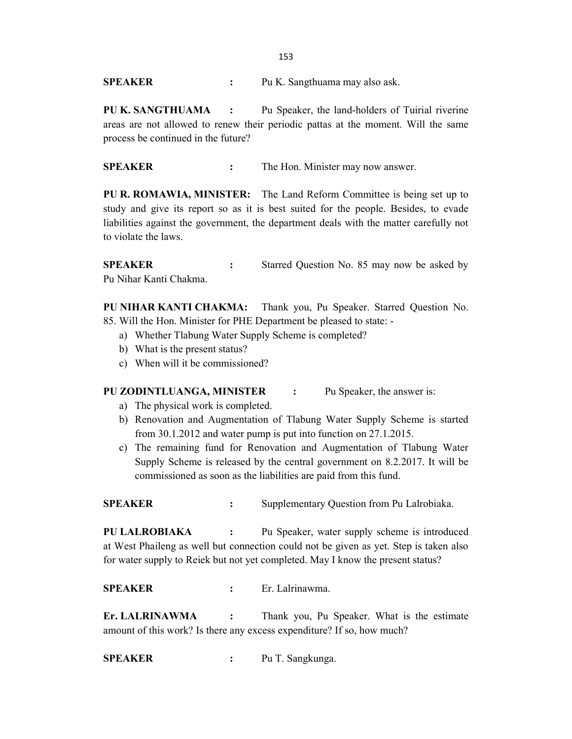SPEAKER : Pu K. Sangthuama may also ask.

PU K. SANGTHUAMA : Pu Speaker, the land-holders of Tuirial riverine areas are not allowed to renew their periodic pattas at the moment. Will the same process be continued in the future?

SPEAKER : The Hon. Minister may now answer.

PU R. ROMAWIA, MINISTER: The Land Reform Committee is being set up to study and give its report so as it is best suited for the people. Besides, to evade liabilities against the government, the department deals with the matter carefully not to violate the laws.

**SPEAKER** : Starred Question No. 85 may now be asked by Pu Nihar Kanti Chakma.

PU NIHAR KANTI CHAKMA: Thank you, Pu Speaker. Starred Question No. 85. Will the Hon. Minister for PHE Department be pleased to state: -

- a) Whether Tlabung Water Supply Scheme is completed?
- b) What is the present status?
- c) When will it be commissioned?

#### PU ZODINTLUANGA, MINISTER : Pu Speaker, the answer is:

- a) The physical work is completed.
- b) Renovation and Augmentation of Tlabung Water Supply Scheme is started from 30.1.2012 and water pump is put into function on 27.1.2015.
- c) The remaining fund for Renovation and Augmentation of Tlabung Water Supply Scheme is released by the central government on 8.2.2017. It will be commissioned as soon as the liabilities are paid from this fund.

SPEAKER : Supplementary Question from Pu Lalrobiaka.

PU LALROBIAKA : Pu Speaker, water supply scheme is introduced at West Phaileng as well but connection could not be given as yet. Step is taken also for water supply to Reiek but not yet completed. May I know the present status?

SPEAKER : Er. Lalrinawma.

Er. LALRINAWMA : Thank you, Pu Speaker. What is the estimate amount of this work? Is there any excess expenditure? If so, how much?

SPEAKER : Pu T. Sangkunga.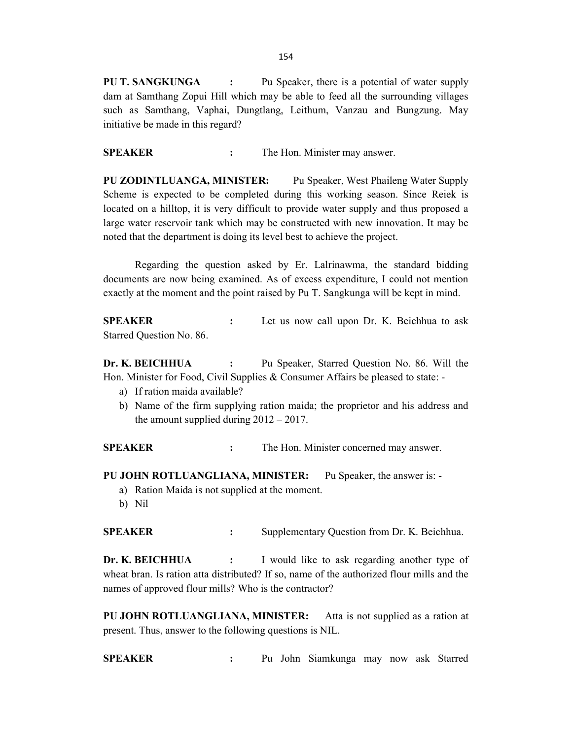154

PU T. SANGKUNGA : Pu Speaker, there is a potential of water supply dam at Samthang Zopui Hill which may be able to feed all the surrounding villages such as Samthang, Vaphai, Dungtlang, Leithum, Vanzau and Bungzung. May initiative be made in this regard?

SPEAKER : The Hon. Minister may answer.

PU ZODINTLUANGA, MINISTER: Pu Speaker, West Phaileng Water Supply Scheme is expected to be completed during this working season. Since Reiek is located on a hilltop, it is very difficult to provide water supply and thus proposed a large water reservoir tank which may be constructed with new innovation. It may be noted that the department is doing its level best to achieve the project.

 Regarding the question asked by Er. Lalrinawma, the standard bidding documents are now being examined. As of excess expenditure, I could not mention exactly at the moment and the point raised by Pu T. Sangkunga will be kept in mind.

SPEAKER : Let us now call upon Dr. K. Beichhua to ask Starred Question No. 86.

Dr. K. BEICHHUA : Pu Speaker, Starred Question No. 86. Will the Hon. Minister for Food, Civil Supplies & Consumer Affairs be pleased to state: -

- a) If ration maida available?
- b) Name of the firm supplying ration maida; the proprietor and his address and the amount supplied during  $2012 - 2017$ .

SPEAKER : The Hon. Minister concerned may answer.

- PU JOHN ROTLUANGLIANA, MINISTER: Pu Speaker, the answer is:
	- a) Ration Maida is not supplied at the moment.
	- b) Nil

SPEAKER : Supplementary Question from Dr. K. Beichhua.

Dr. K. BEICHHUA : I would like to ask regarding another type of wheat bran. Is ration atta distributed? If so, name of the authorized flour mills and the names of approved flour mills? Who is the contractor?

PU JOHN ROTLUANGLIANA, MINISTER: Atta is not supplied as a ration at present. Thus, answer to the following questions is NIL.

SPEAKER : Pu John Siamkunga may now ask Starred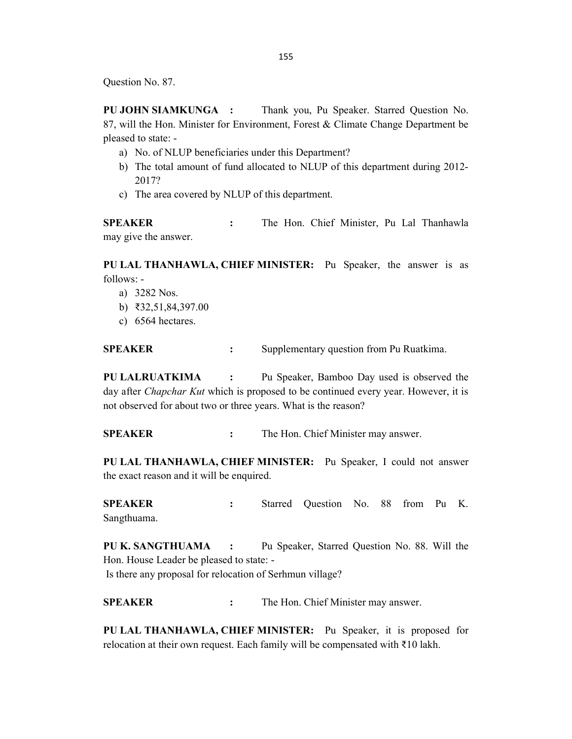Question No. 87.

PU JOHN SIAMKUNGA : Thank you, Pu Speaker. Starred Question No. 87, will the Hon. Minister for Environment, Forest & Climate Change Department be pleased to state: -

- a) No. of NLUP beneficiaries under this Department?
- b) The total amount of fund allocated to NLUP of this department during 2012- 2017?
- c) The area covered by NLUP of this department.

SPEAKER : The Hon. Chief Minister, Pu Lal Thanhawla may give the answer.

PU LAL THANHAWLA, CHIEF MINISTER: Pu Speaker, the answer is as follows: -

- a) 3282 Nos.
- b) ₹32,51,84,397.00
- c) 6564 hectares.

SPEAKER : Supplementary question from Pu Ruatkima.

PU LALRUATKIMA : Pu Speaker, Bamboo Day used is observed the day after *Chapchar Kut* which is proposed to be continued every year. However, it is not observed for about two or three years. What is the reason?

SPEAKER : The Hon. Chief Minister may answer.

PU LAL THANHAWLA, CHIEF MINISTER: Pu Speaker, I could not answer the exact reason and it will be enquired.

SPEAKER : Starred Question No. 88 from Pu K. Sangthuama.

PU K. SANGTHUAMA : Pu Speaker, Starred Question No. 88. Will the Hon. House Leader be pleased to state: - Is there any proposal for relocation of Serhmun village?

SPEAKER : The Hon. Chief Minister may answer.

PU LAL THANHAWLA, CHIEF MINISTER: Pu Speaker, it is proposed for relocation at their own request. Each family will be compensated with ₹10 lakh.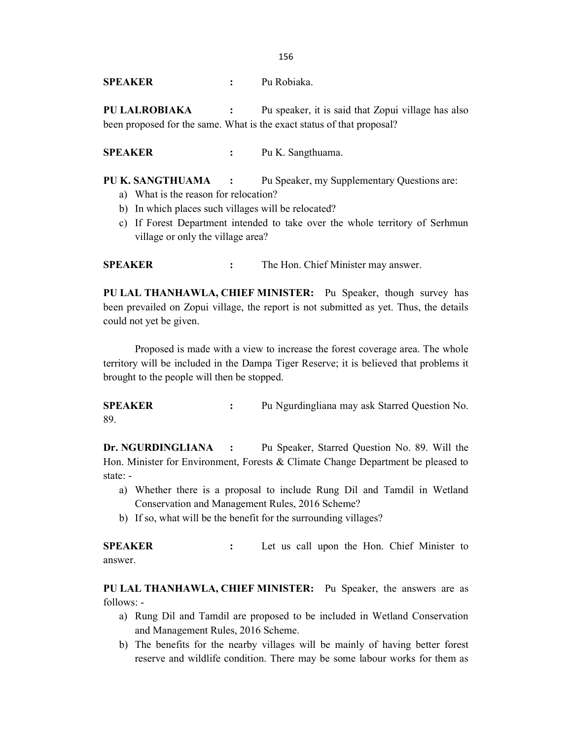SPEAKER : Pu Robiaka.

PU LALROBIAKA : Pu speaker, it is said that Zopui village has also been proposed for the same. What is the exact status of that proposal?

SPEAKER : Pu K. Sangthuama.

PU K. SANGTHUAMA : Pu Speaker, my Supplementary Questions are:

- a) What is the reason for relocation?
- b) In which places such villages will be relocated?
- c) If Forest Department intended to take over the whole territory of Serhmun village or only the village area?

SPEAKER : The Hon. Chief Minister may answer.

PU LAL THANHAWLA, CHIEF MINISTER: Pu Speaker, though survey has been prevailed on Zopui village, the report is not submitted as yet. Thus, the details could not yet be given.

 Proposed is made with a view to increase the forest coverage area. The whole territory will be included in the Dampa Tiger Reserve; it is believed that problems it brought to the people will then be stopped.

SPEAKER : Pu Ngurdingliana may ask Starred Question No. 89.

Dr. NGURDINGLIANA : Pu Speaker, Starred Question No. 89. Will the Hon. Minister for Environment, Forests & Climate Change Department be pleased to state: -

- a) Whether there is a proposal to include Rung Dil and Tamdil in Wetland Conservation and Management Rules, 2016 Scheme?
- b) If so, what will be the benefit for the surrounding villages?

SPEAKER : Let us call upon the Hon. Chief Minister to answer.

PU LAL THANHAWLA, CHIEF MINISTER: Pu Speaker, the answers are as follows: -

- a) Rung Dil and Tamdil are proposed to be included in Wetland Conservation and Management Rules, 2016 Scheme.
- b) The benefits for the nearby villages will be mainly of having better forest reserve and wildlife condition. There may be some labour works for them as

156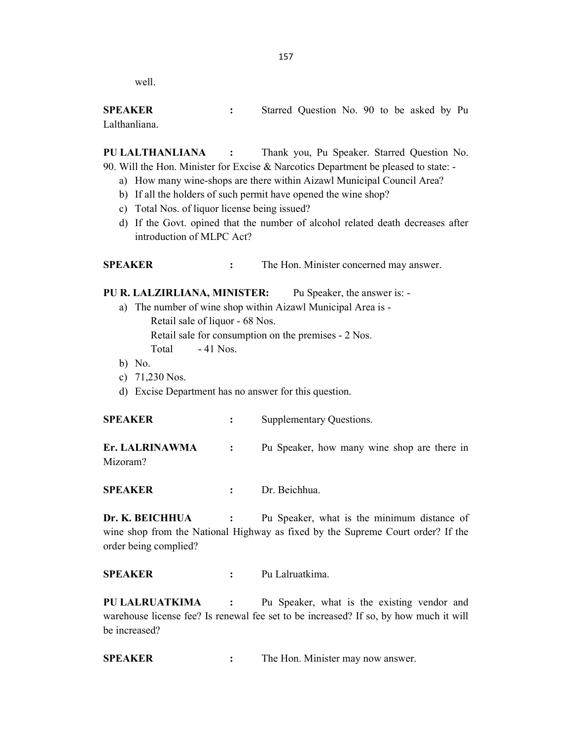well.

SPEAKER : Starred Question No. 90 to be asked by Pu Lalthanliana.

PU LALTHANLIANA : Thank you, Pu Speaker. Starred Question No. 90. Will the Hon. Minister for Excise & Narcotics Department be pleased to state: -

- a) How many wine-shops are there within Aizawl Municipal Council Area?
- b) If all the holders of such permit have opened the wine shop?
- c) Total Nos. of liquor license being issued?
- d) If the Govt. opined that the number of alcohol related death decreases after introduction of MLPC Act?

SPEAKER : The Hon. Minister concerned may answer.

PU R. LALZIRLIANA, MINISTER: Pu Speaker, the answer is: -

- a) The number of wine shop within Aizawl Municipal Area is Retail sale of liquor - 68 Nos. Retail sale for consumption on the premises - 2 Nos. Total - 41 Nos.
- b) No.
- c) 71,230 Nos.
- d) Excise Department has no answer for this question.

| <b>SPEAKER</b> | Supplementary Questions.                    |  |
|----------------|---------------------------------------------|--|
| Er. LALRINAWMA | Pu Speaker, how many wine shop are there in |  |
| Mizoram?       |                                             |  |

SPEAKER : Dr. Beichhua.

Dr. K. BEICHHUA : Pu Speaker, what is the minimum distance of wine shop from the National Highway as fixed by the Supreme Court order? If the order being complied?

SPEAKER : Pu Lalruatkima.

PU LALRUATKIMA : Pu Speaker, what is the existing vendor and warehouse license fee? Is renewal fee set to be increased? If so, by how much it will be increased?

SPEAKER : The Hon. Minister may now answer.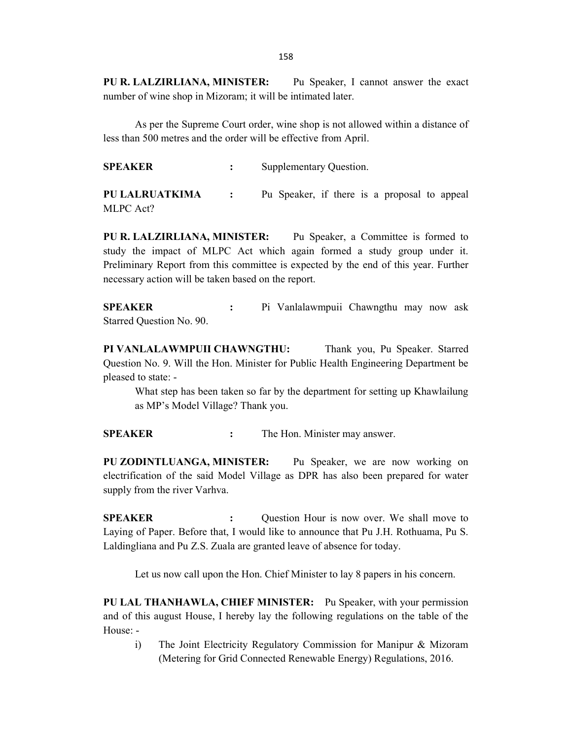PU R. LALZIRLIANA, MINISTER: Pu Speaker, I cannot answer the exact number of wine shop in Mizoram; it will be intimated later.

 As per the Supreme Court order, wine shop is not allowed within a distance of less than 500 metres and the order will be effective from April.

SPEAKER : Supplementary Question.

PU LALRUATKIMA : Pu Speaker, if there is a proposal to appeal MLPC Act?

PU R. LALZIRLIANA, MINISTER: Pu Speaker, a Committee is formed to study the impact of MLPC Act which again formed a study group under it. Preliminary Report from this committee is expected by the end of this year. Further necessary action will be taken based on the report.

SPEAKER : Pi Vanlalawmpuii Chawngthu may now ask Starred Question No. 90.

PI VANLALAWMPUII CHAWNGTHU: Thank you, Pu Speaker. Starred Question No. 9. Will the Hon. Minister for Public Health Engineering Department be pleased to state: -

 What step has been taken so far by the department for setting up Khawlailung as MP's Model Village? Thank you.

SPEAKER : The Hon. Minister may answer.

PU ZODINTLUANGA, MINISTER: Pu Speaker, we are now working on electrification of the said Model Village as DPR has also been prepared for water supply from the river Varhva.

SPEAKER : Question Hour is now over. We shall move to Laying of Paper. Before that, I would like to announce that Pu J.H. Rothuama, Pu S. Laldingliana and Pu Z.S. Zuala are granted leave of absence for today.

Let us now call upon the Hon. Chief Minister to lay 8 papers in his concern.

PU LAL THANHAWLA, CHIEF MINISTER: Pu Speaker, with your permission and of this august House, I hereby lay the following regulations on the table of the House: -

i) The Joint Electricity Regulatory Commission for Manipur & Mizoram (Metering for Grid Connected Renewable Energy) Regulations, 2016.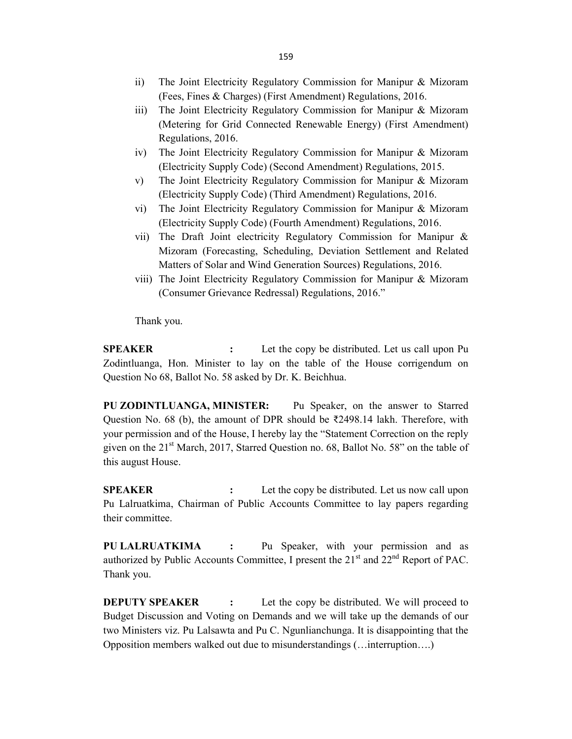- ii) The Joint Electricity Regulatory Commission for Manipur & Mizoram (Fees, Fines & Charges) (First Amendment) Regulations, 2016.
- iii) The Joint Electricity Regulatory Commission for Manipur & Mizoram (Metering for Grid Connected Renewable Energy) (First Amendment) Regulations, 2016.
- iv) The Joint Electricity Regulatory Commission for Manipur & Mizoram (Electricity Supply Code) (Second Amendment) Regulations, 2015.
- v) The Joint Electricity Regulatory Commission for Manipur & Mizoram (Electricity Supply Code) (Third Amendment) Regulations, 2016.
- vi) The Joint Electricity Regulatory Commission for Manipur & Mizoram (Electricity Supply Code) (Fourth Amendment) Regulations, 2016.
- vii) The Draft Joint electricity Regulatory Commission for Manipur & Mizoram (Forecasting, Scheduling, Deviation Settlement and Related Matters of Solar and Wind Generation Sources) Regulations, 2016.
- viii) The Joint Electricity Regulatory Commission for Manipur & Mizoram (Consumer Grievance Redressal) Regulations, 2016."

Thank you.

SPEAKER : Let the copy be distributed. Let us call upon Pu Zodintluanga, Hon. Minister to lay on the table of the House corrigendum on Question No 68, Ballot No. 58 asked by Dr. K. Beichhua.

PU ZODINTLUANGA, MINISTER: Pu Speaker, on the answer to Starred Question No. 68 (b), the amount of DPR should be  $\overline{z}$ 2498.14 lakh. Therefore, with your permission and of the House, I hereby lay the "Statement Correction on the reply given on the  $21<sup>st</sup>$  March, 2017, Starred Question no. 68, Ballot No. 58" on the table of this august House.

**SPEAKER** : Let the copy be distributed. Let us now call upon Pu Lalruatkima, Chairman of Public Accounts Committee to lay papers regarding their committee.

PU LALRUATKIMA : Pu Speaker, with your permission and as authorized by Public Accounts Committee, I present the 21<sup>st</sup> and 22<sup>nd</sup> Report of PAC. Thank you.

**DEPUTY SPEAKER** : Let the copy be distributed. We will proceed to Budget Discussion and Voting on Demands and we will take up the demands of our two Ministers viz. Pu Lalsawta and Pu C. Ngunlianchunga. It is disappointing that the Opposition members walked out due to misunderstandings (…interruption….)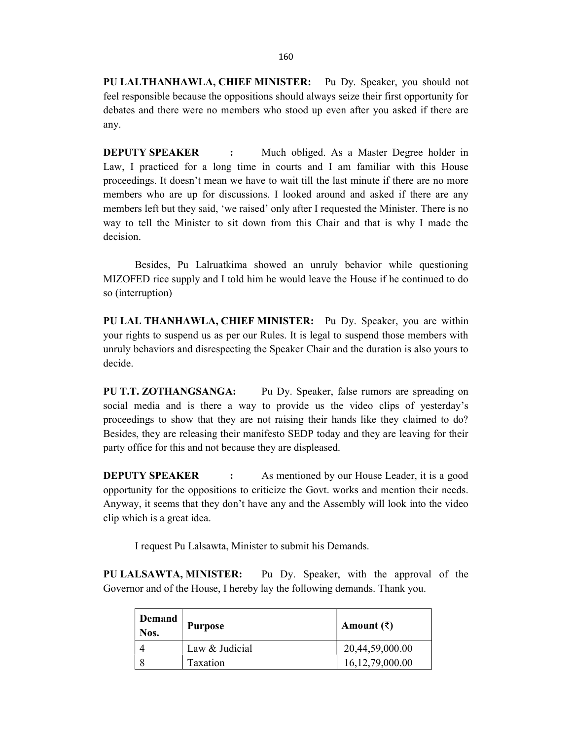PU LALTHANHAWLA, CHIEF MINISTER: Pu Dy. Speaker, you should not feel responsible because the oppositions should always seize their first opportunity for debates and there were no members who stood up even after you asked if there are any.

**DEPUTY SPEAKER** : Much obliged. As a Master Degree holder in Law, I practiced for a long time in courts and I am familiar with this House proceedings. It doesn't mean we have to wait till the last minute if there are no more members who are up for discussions. I looked around and asked if there are any members left but they said, 'we raised' only after I requested the Minister. There is no way to tell the Minister to sit down from this Chair and that is why I made the decision.

 Besides, Pu Lalruatkima showed an unruly behavior while questioning MIZOFED rice supply and I told him he would leave the House if he continued to do so (interruption)

PU LAL THANHAWLA, CHIEF MINISTER: Pu Dy. Speaker, you are within your rights to suspend us as per our Rules. It is legal to suspend those members with unruly behaviors and disrespecting the Speaker Chair and the duration is also yours to decide.

PU T.T. ZOTHANGSANGA: Pu Dy. Speaker, false rumors are spreading on social media and is there a way to provide us the video clips of yesterday's proceedings to show that they are not raising their hands like they claimed to do? Besides, they are releasing their manifesto SEDP today and they are leaving for their party office for this and not because they are displeased.

**DEPUTY SPEAKER** : As mentioned by our House Leader, it is a good opportunity for the oppositions to criticize the Govt. works and mention their needs. Anyway, it seems that they don't have any and the Assembly will look into the video clip which is a great idea.

I request Pu Lalsawta, Minister to submit his Demands.

PU LALSAWTA, MINISTER: Pu Dy. Speaker, with the approval of the Governor and of the House, I hereby lay the following demands. Thank you.

| Demand<br>Nos. | <b>Purpose</b> | Amount $(\bar{\zeta})$ |
|----------------|----------------|------------------------|
|                | Law & Judicial | 20,44,59,000.00        |
|                | Taxation       | 16, 12, 79, 000. 00    |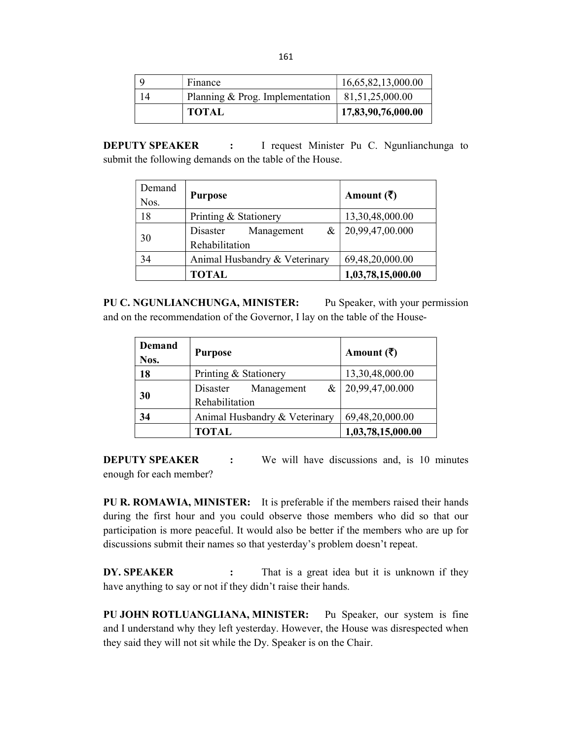| Finance                         | 16,65,82,13,000.00 |
|---------------------------------|--------------------|
| Planning & Prog. Implementation | 81,51,25,000.00    |
| <b>TOTAL</b>                    | 17,83,90,76,000.00 |

**DEPUTY SPEAKER** : I request Minister Pu C. Ngunlianchunga to submit the following demands on the table of the House.

| Demand<br>Nos. | <b>Purpose</b>                      | Amount $(\bar{\zeta})$ |
|----------------|-------------------------------------|------------------------|
| 18             | Printing & Stationery               | 13,30,48,000.00        |
| 30             | Disaster<br>Management<br>$\&\perp$ | 20,99,47,00.000        |
|                | Rehabilitation                      |                        |
| 34             | Animal Husbandry & Veterinary       | 69,48,20,000.00        |
|                | <b>TOTAL</b>                        | 1,03,78,15,000.00      |

PU C. NGUNLIANCHUNGA, MINISTER: Pu Speaker, with your permission and on the recommendation of the Governor, I lay on the table of the House-

| <b>Demand</b><br>Nos. | <b>Purpose</b>                                   | Amount $(\bar{\zeta})$        |
|-----------------------|--------------------------------------------------|-------------------------------|
| 18                    | Printing & Stationery                            | 13,30,48,000.00               |
| 30                    | $\&$<br>Management<br>Disaster<br>Rehabilitation | $\vert 20,99,47,00.000 \vert$ |
| 34                    | Animal Husbandry & Veterinary                    | 69,48,20,000.00               |
|                       | <b>TOTAL</b>                                     | 1,03,78,15,000.00             |

**DEPUTY SPEAKER** : We will have discussions and, is 10 minutes enough for each member?

PU R. ROMAWIA, MINISTER: It is preferable if the members raised their hands during the first hour and you could observe those members who did so that our participation is more peaceful. It would also be better if the members who are up for discussions submit their names so that yesterday's problem doesn't repeat.

DY. SPEAKER : That is a great idea but it is unknown if they have anything to say or not if they didn't raise their hands.

PU JOHN ROTLUANGLIANA, MINISTER: Pu Speaker, our system is fine and I understand why they left yesterday. However, the House was disrespected when they said they will not sit while the Dy. Speaker is on the Chair.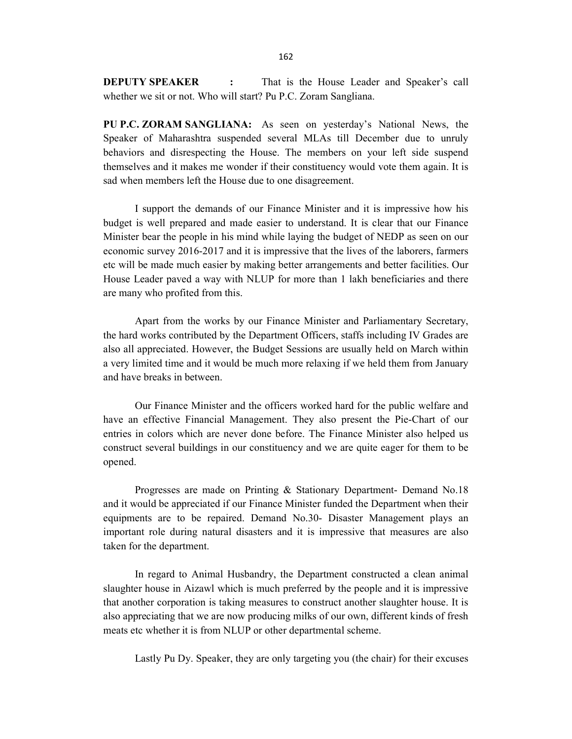**DEPUTY SPEAKER** : That is the House Leader and Speaker's call whether we sit or not. Who will start? Pu P.C. Zoram Sangliana.

PU P.C. ZORAM SANGLIANA: As seen on yesterday's National News, the Speaker of Maharashtra suspended several MLAs till December due to unruly behaviors and disrespecting the House. The members on your left side suspend themselves and it makes me wonder if their constituency would vote them again. It is sad when members left the House due to one disagreement.

 I support the demands of our Finance Minister and it is impressive how his budget is well prepared and made easier to understand. It is clear that our Finance Minister bear the people in his mind while laying the budget of NEDP as seen on our economic survey 2016-2017 and it is impressive that the lives of the laborers, farmers etc will be made much easier by making better arrangements and better facilities. Our House Leader paved a way with NLUP for more than 1 lakh beneficiaries and there are many who profited from this.

 Apart from the works by our Finance Minister and Parliamentary Secretary, the hard works contributed by the Department Officers, staffs including IV Grades are also all appreciated. However, the Budget Sessions are usually held on March within a very limited time and it would be much more relaxing if we held them from January and have breaks in between.

 Our Finance Minister and the officers worked hard for the public welfare and have an effective Financial Management. They also present the Pie-Chart of our entries in colors which are never done before. The Finance Minister also helped us construct several buildings in our constituency and we are quite eager for them to be opened.

 Progresses are made on Printing & Stationary Department- Demand No.18 and it would be appreciated if our Finance Minister funded the Department when their equipments are to be repaired. Demand No.30- Disaster Management plays an important role during natural disasters and it is impressive that measures are also taken for the department.

 In regard to Animal Husbandry, the Department constructed a clean animal slaughter house in Aizawl which is much preferred by the people and it is impressive that another corporation is taking measures to construct another slaughter house. It is also appreciating that we are now producing milks of our own, different kinds of fresh meats etc whether it is from NLUP or other departmental scheme.

Lastly Pu Dy. Speaker, they are only targeting you (the chair) for their excuses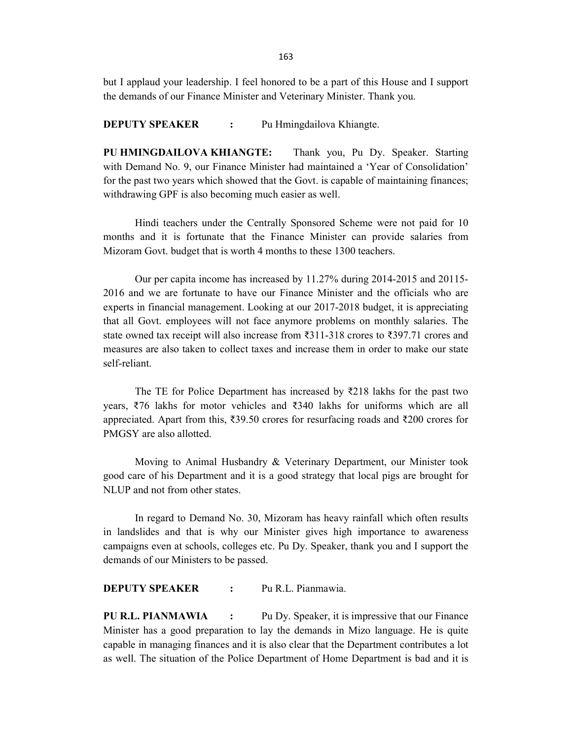but I applaud your leadership. I feel honored to be a part of this House and I support the demands of our Finance Minister and Veterinary Minister. Thank you.

**DEPUTY SPEAKER :** Pu Hmingdailova Khiangte.

PU HMINGDAILOVA KHIANGTE: Thank you, Pu Dy. Speaker. Starting with Demand No. 9, our Finance Minister had maintained a 'Year of Consolidation' for the past two years which showed that the Govt. is capable of maintaining finances; withdrawing GPF is also becoming much easier as well.

 Hindi teachers under the Centrally Sponsored Scheme were not paid for 10 months and it is fortunate that the Finance Minister can provide salaries from Mizoram Govt. budget that is worth 4 months to these 1300 teachers.

 Our per capita income has increased by 11.27% during 2014-2015 and 20115- 2016 and we are fortunate to have our Finance Minister and the officials who are experts in financial management. Looking at our 2017-2018 budget, it is appreciating that all Govt. employees will not face anymore problems on monthly salaries. The state owned tax receipt will also increase from ₹311-318 crores to ₹397.71 crores and measures are also taken to collect taxes and increase them in order to make our state self-reliant.

The TE for Police Department has increased by  $\overline{\xi}$ 218 lakhs for the past two years, ₹76 lakhs for motor vehicles and ₹340 lakhs for uniforms which are all appreciated. Apart from this, ₹39.50 crores for resurfacing roads and ₹200 crores for PMGSY are also allotted.

 Moving to Animal Husbandry & Veterinary Department, our Minister took good care of his Department and it is a good strategy that local pigs are brought for NLUP and not from other states.

 In regard to Demand No. 30, Mizoram has heavy rainfall which often results in landslides and that is why our Minister gives high importance to awareness campaigns even at schools, colleges etc. Pu Dy. Speaker, thank you and I support the demands of our Ministers to be passed.

DEPUTY SPEAKER : Pu R.L. Pianmawia.

PU R.L. PIANMAWIA : Pu Dy. Speaker, it is impressive that our Finance Minister has a good preparation to lay the demands in Mizo language. He is quite capable in managing finances and it is also clear that the Department contributes a lot as well. The situation of the Police Department of Home Department is bad and it is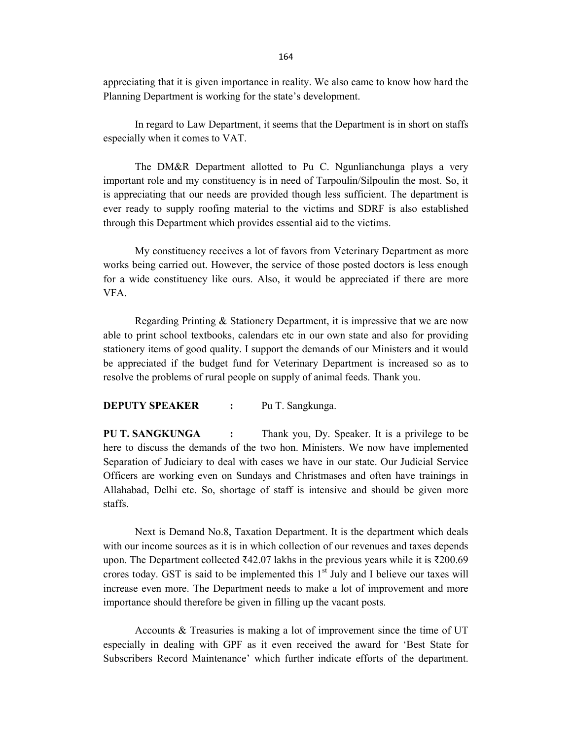appreciating that it is given importance in reality. We also came to know how hard the Planning Department is working for the state's development.

 In regard to Law Department, it seems that the Department is in short on staffs especially when it comes to VAT.

 The DM&R Department allotted to Pu C. Ngunlianchunga plays a very important role and my constituency is in need of Tarpoulin/Silpoulin the most. So, it is appreciating that our needs are provided though less sufficient. The department is ever ready to supply roofing material to the victims and SDRF is also established through this Department which provides essential aid to the victims.

 My constituency receives a lot of favors from Veterinary Department as more works being carried out. However, the service of those posted doctors is less enough for a wide constituency like ours. Also, it would be appreciated if there are more VFA.

 Regarding Printing & Stationery Department, it is impressive that we are now able to print school textbooks, calendars etc in our own state and also for providing stationery items of good quality. I support the demands of our Ministers and it would be appreciated if the budget fund for Veterinary Department is increased so as to resolve the problems of rural people on supply of animal feeds. Thank you.

### DEPUTY SPEAKER : Pu T. Sangkunga.

PU T. SANGKUNGA : Thank you, Dy. Speaker. It is a privilege to be here to discuss the demands of the two hon. Ministers. We now have implemented Separation of Judiciary to deal with cases we have in our state. Our Judicial Service Officers are working even on Sundays and Christmases and often have trainings in Allahabad, Delhi etc. So, shortage of staff is intensive and should be given more staffs.

 Next is Demand No.8, Taxation Department. It is the department which deals with our income sources as it is in which collection of our revenues and taxes depends upon. The Department collected  $\text{\textsterling}42.07$  lakhs in the previous years while it is  $\text{\textsterling}200.69$ crores today. GST is said to be implemented this  $1<sup>st</sup>$  July and I believe our taxes will increase even more. The Department needs to make a lot of improvement and more importance should therefore be given in filling up the vacant posts.

 Accounts & Treasuries is making a lot of improvement since the time of UT especially in dealing with GPF as it even received the award for 'Best State for Subscribers Record Maintenance' which further indicate efforts of the department.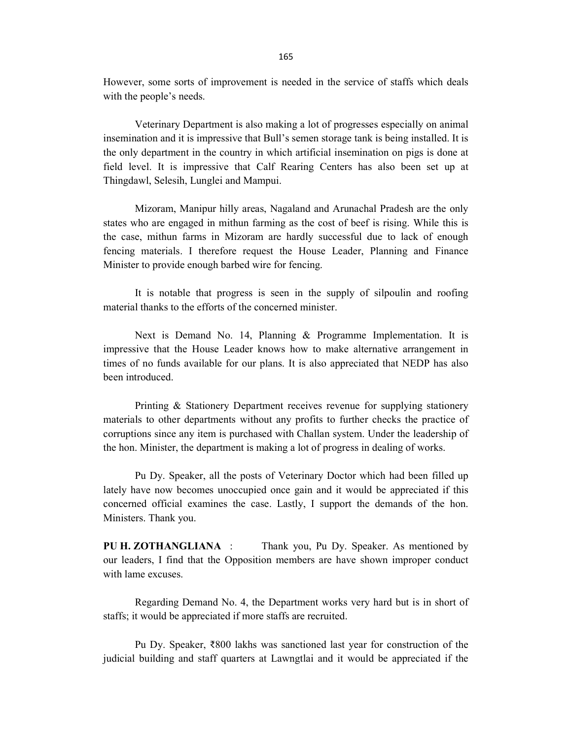However, some sorts of improvement is needed in the service of staffs which deals with the people's needs.

 Veterinary Department is also making a lot of progresses especially on animal insemination and it is impressive that Bull's semen storage tank is being installed. It is the only department in the country in which artificial insemination on pigs is done at field level. It is impressive that Calf Rearing Centers has also been set up at Thingdawl, Selesih, Lunglei and Mampui.

 Mizoram, Manipur hilly areas, Nagaland and Arunachal Pradesh are the only states who are engaged in mithun farming as the cost of beef is rising. While this is the case, mithun farms in Mizoram are hardly successful due to lack of enough fencing materials. I therefore request the House Leader, Planning and Finance Minister to provide enough barbed wire for fencing.

 It is notable that progress is seen in the supply of silpoulin and roofing material thanks to the efforts of the concerned minister.

 Next is Demand No. 14, Planning & Programme Implementation. It is impressive that the House Leader knows how to make alternative arrangement in times of no funds available for our plans. It is also appreciated that NEDP has also been introduced.

 Printing & Stationery Department receives revenue for supplying stationery materials to other departments without any profits to further checks the practice of corruptions since any item is purchased with Challan system. Under the leadership of the hon. Minister, the department is making a lot of progress in dealing of works.

 Pu Dy. Speaker, all the posts of Veterinary Doctor which had been filled up lately have now becomes unoccupied once gain and it would be appreciated if this concerned official examines the case. Lastly, I support the demands of the hon. Ministers. Thank you.

PU H. ZOTHANGLIANA : Thank you, Pu Dy. Speaker. As mentioned by our leaders, I find that the Opposition members are have shown improper conduct with lame excuses.

 Regarding Demand No. 4, the Department works very hard but is in short of staffs; it would be appreciated if more staffs are recruited.

 Pu Dy. Speaker, ₹800 lakhs was sanctioned last year for construction of the judicial building and staff quarters at Lawngtlai and it would be appreciated if the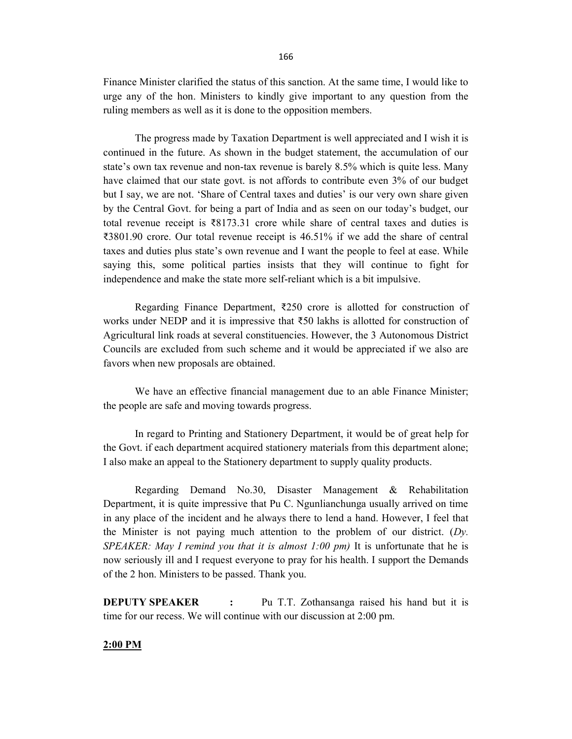Finance Minister clarified the status of this sanction. At the same time, I would like to urge any of the hon. Ministers to kindly give important to any question from the ruling members as well as it is done to the opposition members.

 The progress made by Taxation Department is well appreciated and I wish it is continued in the future. As shown in the budget statement, the accumulation of our state's own tax revenue and non-tax revenue is barely 8.5% which is quite less. Many have claimed that our state govt. is not affords to contribute even 3% of our budget but I say, we are not. 'Share of Central taxes and duties' is our very own share given by the Central Govt. for being a part of India and as seen on our today's budget, our total revenue receipt is ₹8173.31 crore while share of central taxes and duties is ₹3801.90 crore. Our total revenue receipt is 46.51% if we add the share of central taxes and duties plus state's own revenue and I want the people to feel at ease. While saying this, some political parties insists that they will continue to fight for independence and make the state more self-reliant which is a bit impulsive.

 Regarding Finance Department, ₹250 crore is allotted for construction of works under NEDP and it is impressive that ₹50 lakhs is allotted for construction of Agricultural link roads at several constituencies. However, the 3 Autonomous District Councils are excluded from such scheme and it would be appreciated if we also are favors when new proposals are obtained.

 We have an effective financial management due to an able Finance Minister; the people are safe and moving towards progress.

 In regard to Printing and Stationery Department, it would be of great help for the Govt. if each department acquired stationery materials from this department alone; I also make an appeal to the Stationery department to supply quality products.

 Regarding Demand No.30, Disaster Management & Rehabilitation Department, it is quite impressive that Pu C. Ngunlianchunga usually arrived on time in any place of the incident and he always there to lend a hand. However, I feel that the Minister is not paying much attention to the problem of our district.  $(Dy)$ . SPEAKER: May I remind you that it is almost  $1:00 \text{ pm}$ ) It is unfortunate that he is now seriously ill and I request everyone to pray for his health. I support the Demands of the 2 hon. Ministers to be passed. Thank you.

**DEPUTY SPEAKER** : Pu T.T. Zothansanga raised his hand but it is time for our recess. We will continue with our discussion at 2:00 pm.

#### 2:00 PM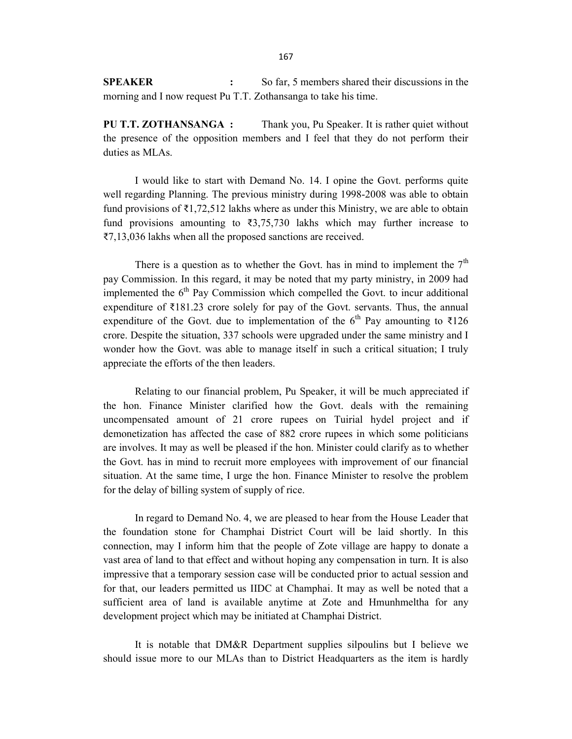SPEAKER : So far, 5 members shared their discussions in the morning and I now request Pu T.T. Zothansanga to take his time.

PU T.T. ZOTHANSANGA : Thank you, Pu Speaker. It is rather quiet without the presence of the opposition members and I feel that they do not perform their duties as MLAs.

 I would like to start with Demand No. 14. I opine the Govt. performs quite well regarding Planning. The previous ministry during 1998-2008 was able to obtain fund provisions of  $\bar{\tau}1,72,512$  lakhs where as under this Ministry, we are able to obtain fund provisions amounting to  $\overline{3}3,75,730$  lakhs which may further increase to ₹7,13,036 lakhs when all the proposed sanctions are received.

There is a question as to whether the Govt. has in mind to implement the  $7<sup>th</sup>$ pay Commission. In this regard, it may be noted that my party ministry, in 2009 had implemented the  $6<sup>th</sup>$  Pay Commission which compelled the Govt. to incur additional expenditure of ₹181.23 crore solely for pay of the Govt. servants. Thus, the annual expenditure of the Govt. due to implementation of the 6<sup>th</sup> Pay amounting to ₹126 crore. Despite the situation, 337 schools were upgraded under the same ministry and I wonder how the Govt. was able to manage itself in such a critical situation; I truly appreciate the efforts of the then leaders.

 Relating to our financial problem, Pu Speaker, it will be much appreciated if the hon. Finance Minister clarified how the Govt. deals with the remaining uncompensated amount of 21 crore rupees on Tuirial hydel project and if demonetization has affected the case of 882 crore rupees in which some politicians are involves. It may as well be pleased if the hon. Minister could clarify as to whether the Govt. has in mind to recruit more employees with improvement of our financial situation. At the same time, I urge the hon. Finance Minister to resolve the problem for the delay of billing system of supply of rice.

 In regard to Demand No. 4, we are pleased to hear from the House Leader that the foundation stone for Champhai District Court will be laid shortly. In this connection, may I inform him that the people of Zote village are happy to donate a vast area of land to that effect and without hoping any compensation in turn. It is also impressive that a temporary session case will be conducted prior to actual session and for that, our leaders permitted us IIDC at Champhai. It may as well be noted that a sufficient area of land is available anytime at Zote and Hmunhmeltha for any development project which may be initiated at Champhai District.

 It is notable that DM&R Department supplies silpoulins but I believe we should issue more to our MLAs than to District Headquarters as the item is hardly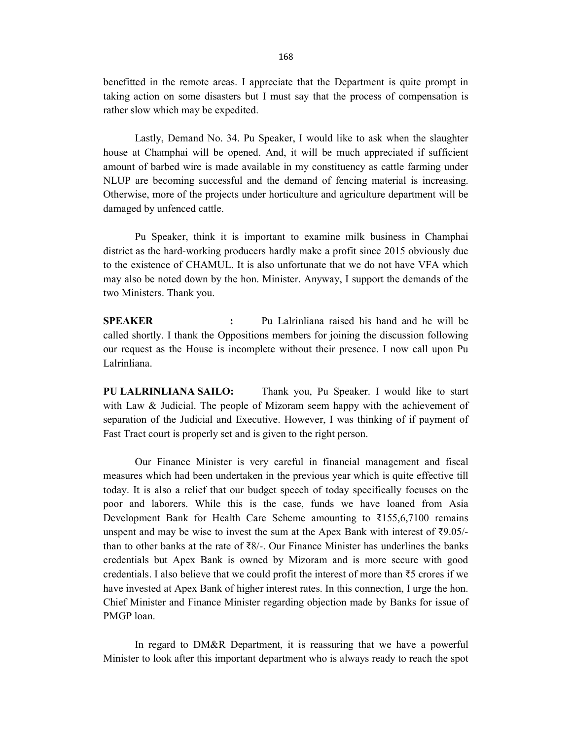benefitted in the remote areas. I appreciate that the Department is quite prompt in taking action on some disasters but I must say that the process of compensation is rather slow which may be expedited.

 Lastly, Demand No. 34. Pu Speaker, I would like to ask when the slaughter house at Champhai will be opened. And, it will be much appreciated if sufficient amount of barbed wire is made available in my constituency as cattle farming under NLUP are becoming successful and the demand of fencing material is increasing. Otherwise, more of the projects under horticulture and agriculture department will be damaged by unfenced cattle.

 Pu Speaker, think it is important to examine milk business in Champhai district as the hard-working producers hardly make a profit since 2015 obviously due to the existence of CHAMUL. It is also unfortunate that we do not have VFA which may also be noted down by the hon. Minister. Anyway, I support the demands of the two Ministers. Thank you.

SPEAKER : Pu Lalrinliana raised his hand and he will be called shortly. I thank the Oppositions members for joining the discussion following our request as the House is incomplete without their presence. I now call upon Pu Lalrinliana.

PU LALRINLIANA SAILO: Thank you, Pu Speaker. I would like to start with Law & Judicial. The people of Mizoram seem happy with the achievement of separation of the Judicial and Executive. However, I was thinking of if payment of Fast Tract court is properly set and is given to the right person.

 Our Finance Minister is very careful in financial management and fiscal measures which had been undertaken in the previous year which is quite effective till today. It is also a relief that our budget speech of today specifically focuses on the poor and laborers. While this is the case, funds we have loaned from Asia Development Bank for Health Care Scheme amounting to ₹155,6,7100 remains unspent and may be wise to invest the sum at the Apex Bank with interest of  $\text{\textless}9.05/$ than to other banks at the rate of  $\bar{\mathcal{R}}_1$ . Our Finance Minister has underlines the banks credentials but Apex Bank is owned by Mizoram and is more secure with good credentials. I also believe that we could profit the interest of more than ₹5 crores if we have invested at Apex Bank of higher interest rates. In this connection, I urge the hon. Chief Minister and Finance Minister regarding objection made by Banks for issue of PMGP loan.

 In regard to DM&R Department, it is reassuring that we have a powerful Minister to look after this important department who is always ready to reach the spot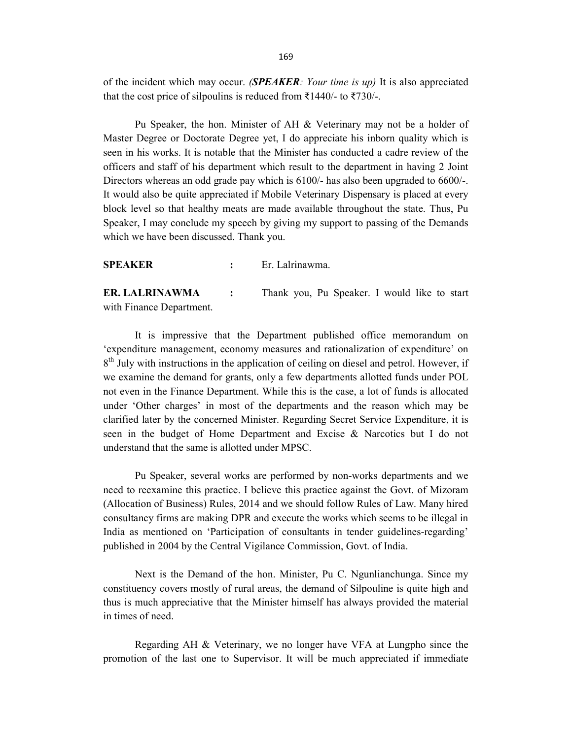of the incident which may occur. (SPEAKER: Your time is up) It is also appreciated that the cost price of silpoulins is reduced from ₹1440/- to ₹730/-.

 Pu Speaker, the hon. Minister of AH & Veterinary may not be a holder of Master Degree or Doctorate Degree yet, I do appreciate his inborn quality which is seen in his works. It is notable that the Minister has conducted a cadre review of the officers and staff of his department which result to the department in having 2 Joint Directors whereas an odd grade pay which is 6100/- has also been upgraded to 6600/-. It would also be quite appreciated if Mobile Veterinary Dispensary is placed at every block level so that healthy meats are made available throughout the state. Thus, Pu Speaker, I may conclude my speech by giving my support to passing of the Demands which we have been discussed. Thank you.

SPEAKER : Er. Lalrinawma.

ER. LALRINAWMA : Thank you, Pu Speaker. I would like to start with Finance Department.

 It is impressive that the Department published office memorandum on 'expenditure management, economy measures and rationalization of expenditure' on 8<sup>th</sup> July with instructions in the application of ceiling on diesel and petrol. However, if we examine the demand for grants, only a few departments allotted funds under POL not even in the Finance Department. While this is the case, a lot of funds is allocated under 'Other charges' in most of the departments and the reason which may be clarified later by the concerned Minister. Regarding Secret Service Expenditure, it is seen in the budget of Home Department and Excise & Narcotics but I do not understand that the same is allotted under MPSC.

 Pu Speaker, several works are performed by non-works departments and we need to reexamine this practice. I believe this practice against the Govt. of Mizoram (Allocation of Business) Rules, 2014 and we should follow Rules of Law. Many hired consultancy firms are making DPR and execute the works which seems to be illegal in India as mentioned on 'Participation of consultants in tender guidelines-regarding' published in 2004 by the Central Vigilance Commission, Govt. of India.

 Next is the Demand of the hon. Minister, Pu C. Ngunlianchunga. Since my constituency covers mostly of rural areas, the demand of Silpouline is quite high and thus is much appreciative that the Minister himself has always provided the material in times of need.

 Regarding AH & Veterinary, we no longer have VFA at Lungpho since the promotion of the last one to Supervisor. It will be much appreciated if immediate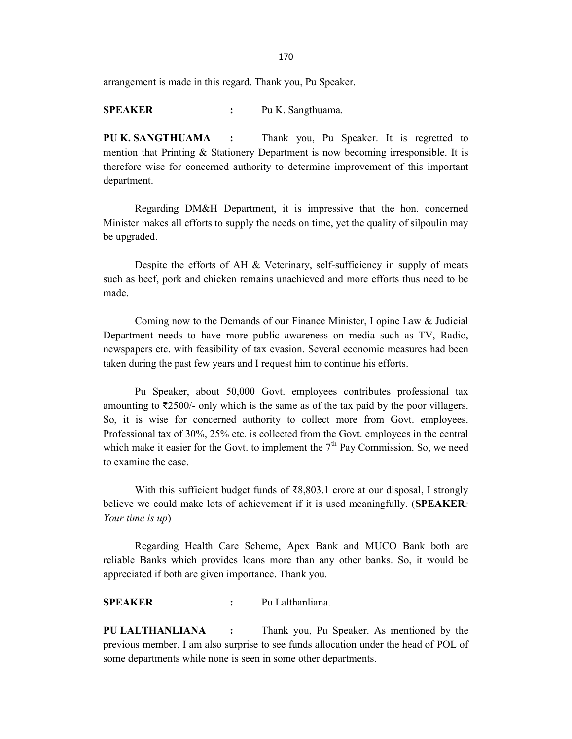170

arrangement is made in this regard. Thank you, Pu Speaker.

SPEAKER : Pu K. Sangthuama.

PU K. SANGTHUAMA : Thank you, Pu Speaker. It is regretted to mention that Printing & Stationery Department is now becoming irresponsible. It is therefore wise for concerned authority to determine improvement of this important department.

 Regarding DM&H Department, it is impressive that the hon. concerned Minister makes all efforts to supply the needs on time, yet the quality of silpoulin may be upgraded.

 Despite the efforts of AH & Veterinary, self-sufficiency in supply of meats such as beef, pork and chicken remains unachieved and more efforts thus need to be made.

 Coming now to the Demands of our Finance Minister, I opine Law & Judicial Department needs to have more public awareness on media such as TV, Radio, newspapers etc. with feasibility of tax evasion. Several economic measures had been taken during the past few years and I request him to continue his efforts.

 Pu Speaker, about 50,000 Govt. employees contributes professional tax amounting to ₹2500/- only which is the same as of the tax paid by the poor villagers. So, it is wise for concerned authority to collect more from Govt. employees. Professional tax of 30%, 25% etc. is collected from the Govt. employees in the central which make it easier for the Govt. to implement the  $7<sup>th</sup>$  Pay Commission. So, we need to examine the case.

With this sufficient budget funds of  $\bar{\mathcal{R}}8,803.1$  crore at our disposal, I strongly believe we could make lots of achievement if it is used meaningfully. (SPEAKER: Your time is up)

 Regarding Health Care Scheme, Apex Bank and MUCO Bank both are reliable Banks which provides loans more than any other banks. So, it would be appreciated if both are given importance. Thank you.

SPEAKER : Pu Lalthanliana.

PU LALTHANLIANA : Thank you, Pu Speaker. As mentioned by the previous member, I am also surprise to see funds allocation under the head of POL of some departments while none is seen in some other departments.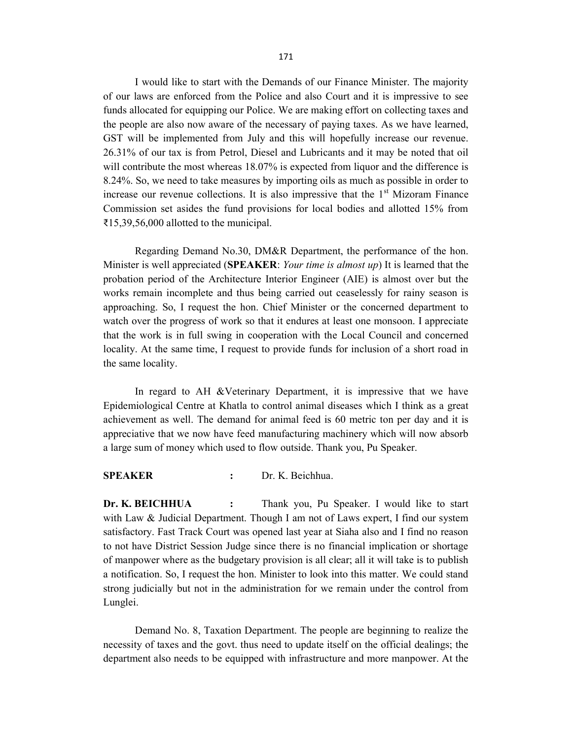I would like to start with the Demands of our Finance Minister. The majority of our laws are enforced from the Police and also Court and it is impressive to see funds allocated for equipping our Police. We are making effort on collecting taxes and the people are also now aware of the necessary of paying taxes. As we have learned, GST will be implemented from July and this will hopefully increase our revenue. 26.31% of our tax is from Petrol, Diesel and Lubricants and it may be noted that oil will contribute the most whereas 18.07% is expected from liquor and the difference is 8.24%. So, we need to take measures by importing oils as much as possible in order to increase our revenue collections. It is also impressive that the  $1<sup>st</sup>$  Mizoram Finance Commission set asides the fund provisions for local bodies and allotted 15% from ₹15,39,56,000 allotted to the municipal.

 Regarding Demand No.30, DM&R Department, the performance of the hon. Minister is well appreciated (SPEAKER: Your time is almost up) It is learned that the probation period of the Architecture Interior Engineer (AIE) is almost over but the works remain incomplete and thus being carried out ceaselessly for rainy season is approaching. So, I request the hon. Chief Minister or the concerned department to watch over the progress of work so that it endures at least one monsoon. I appreciate that the work is in full swing in cooperation with the Local Council and concerned locality. At the same time, I request to provide funds for inclusion of a short road in the same locality.

In regard to AH &Veterinary Department, it is impressive that we have Epidemiological Centre at Khatla to control animal diseases which I think as a great achievement as well. The demand for animal feed is 60 metric ton per day and it is appreciative that we now have feed manufacturing machinery which will now absorb a large sum of money which used to flow outside. Thank you, Pu Speaker.

#### SPEAKER : Dr. K. Beichhua.

Dr. K. BEICHHUA : Thank you, Pu Speaker. I would like to start with Law & Judicial Department. Though I am not of Laws expert, I find our system satisfactory. Fast Track Court was opened last year at Siaha also and I find no reason to not have District Session Judge since there is no financial implication or shortage of manpower where as the budgetary provision is all clear; all it will take is to publish a notification. So, I request the hon. Minister to look into this matter. We could stand strong judicially but not in the administration for we remain under the control from Lunglei.

 Demand No. 8, Taxation Department. The people are beginning to realize the necessity of taxes and the govt. thus need to update itself on the official dealings; the department also needs to be equipped with infrastructure and more manpower. At the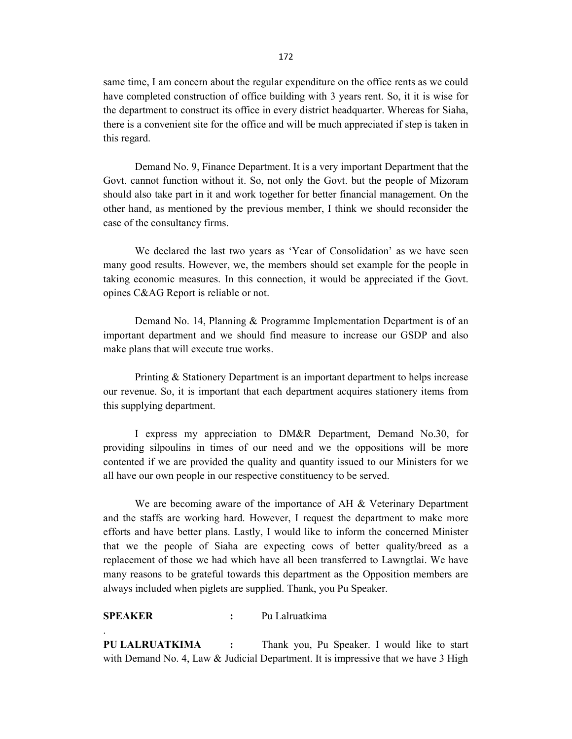same time, I am concern about the regular expenditure on the office rents as we could have completed construction of office building with 3 years rent. So, it it is wise for the department to construct its office in every district headquarter. Whereas for Siaha, there is a convenient site for the office and will be much appreciated if step is taken in this regard.

 Demand No. 9, Finance Department. It is a very important Department that the Govt. cannot function without it. So, not only the Govt. but the people of Mizoram should also take part in it and work together for better financial management. On the other hand, as mentioned by the previous member, I think we should reconsider the case of the consultancy firms.

 We declared the last two years as 'Year of Consolidation' as we have seen many good results. However, we, the members should set example for the people in taking economic measures. In this connection, it would be appreciated if the Govt. opines C&AG Report is reliable or not.

 Demand No. 14, Planning & Programme Implementation Department is of an important department and we should find measure to increase our GSDP and also make plans that will execute true works.

 Printing & Stationery Department is an important department to helps increase our revenue. So, it is important that each department acquires stationery items from this supplying department.

 I express my appreciation to DM&R Department, Demand No.30, for providing silpoulins in times of our need and we the oppositions will be more contented if we are provided the quality and quantity issued to our Ministers for we all have our own people in our respective constituency to be served.

We are becoming aware of the importance of AH & Veterinary Department and the staffs are working hard. However, I request the department to make more efforts and have better plans. Lastly, I would like to inform the concerned Minister that we the people of Siaha are expecting cows of better quality/breed as a replacement of those we had which have all been transferred to Lawngtlai. We have many reasons to be grateful towards this department as the Opposition members are always included when piglets are supplied. Thank, you Pu Speaker.

## SPEAKER : Pu Lalruatkima

.

PU LALRUATKIMA : Thank you, Pu Speaker. I would like to start with Demand No. 4, Law  $&$  Judicial Department. It is impressive that we have 3 High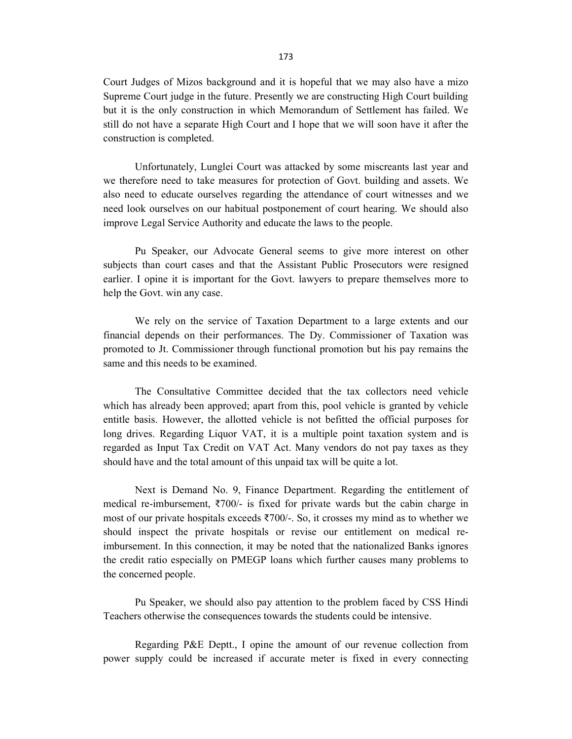Court Judges of Mizos background and it is hopeful that we may also have a mizo Supreme Court judge in the future. Presently we are constructing High Court building but it is the only construction in which Memorandum of Settlement has failed. We still do not have a separate High Court and I hope that we will soon have it after the construction is completed.

 Unfortunately, Lunglei Court was attacked by some miscreants last year and we therefore need to take measures for protection of Govt. building and assets. We also need to educate ourselves regarding the attendance of court witnesses and we need look ourselves on our habitual postponement of court hearing. We should also improve Legal Service Authority and educate the laws to the people.

 Pu Speaker, our Advocate General seems to give more interest on other subjects than court cases and that the Assistant Public Prosecutors were resigned earlier. I opine it is important for the Govt. lawyers to prepare themselves more to help the Govt. win any case.

 We rely on the service of Taxation Department to a large extents and our financial depends on their performances. The Dy. Commissioner of Taxation was promoted to Jt. Commissioner through functional promotion but his pay remains the same and this needs to be examined.

 The Consultative Committee decided that the tax collectors need vehicle which has already been approved; apart from this, pool vehicle is granted by vehicle entitle basis. However, the allotted vehicle is not befitted the official purposes for long drives. Regarding Liquor VAT, it is a multiple point taxation system and is regarded as Input Tax Credit on VAT Act. Many vendors do not pay taxes as they should have and the total amount of this unpaid tax will be quite a lot.

 Next is Demand No. 9, Finance Department. Regarding the entitlement of medical re-imbursement, ₹700/- is fixed for private wards but the cabin charge in most of our private hospitals exceeds ₹700/-. So, it crosses my mind as to whether we should inspect the private hospitals or revise our entitlement on medical reimbursement. In this connection, it may be noted that the nationalized Banks ignores the credit ratio especially on PMEGP loans which further causes many problems to the concerned people.

 Pu Speaker, we should also pay attention to the problem faced by CSS Hindi Teachers otherwise the consequences towards the students could be intensive.

 Regarding P&E Deptt., I opine the amount of our revenue collection from power supply could be increased if accurate meter is fixed in every connecting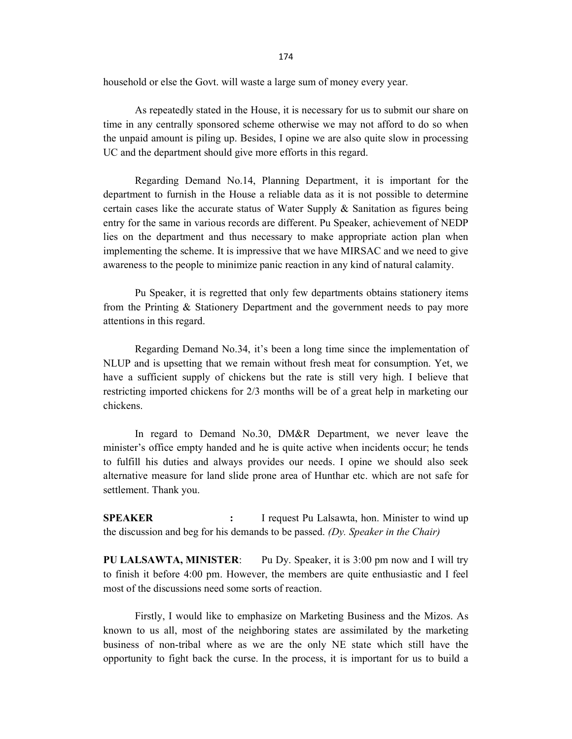174

household or else the Govt. will waste a large sum of money every year.

 As repeatedly stated in the House, it is necessary for us to submit our share on time in any centrally sponsored scheme otherwise we may not afford to do so when the unpaid amount is piling up. Besides, I opine we are also quite slow in processing UC and the department should give more efforts in this regard.

 Regarding Demand No.14, Planning Department, it is important for the department to furnish in the House a reliable data as it is not possible to determine certain cases like the accurate status of Water Supply & Sanitation as figures being entry for the same in various records are different. Pu Speaker, achievement of NEDP lies on the department and thus necessary to make appropriate action plan when implementing the scheme. It is impressive that we have MIRSAC and we need to give awareness to the people to minimize panic reaction in any kind of natural calamity.

 Pu Speaker, it is regretted that only few departments obtains stationery items from the Printing & Stationery Department and the government needs to pay more attentions in this regard.

 Regarding Demand No.34, it's been a long time since the implementation of NLUP and is upsetting that we remain without fresh meat for consumption. Yet, we have a sufficient supply of chickens but the rate is still very high. I believe that restricting imported chickens for 2/3 months will be of a great help in marketing our chickens.

 In regard to Demand No.30, DM&R Department, we never leave the minister's office empty handed and he is quite active when incidents occur; he tends to fulfill his duties and always provides our needs. I opine we should also seek alternative measure for land slide prone area of Hunthar etc. which are not safe for settlement. Thank you.

SPEAKER : I request Pu Lalsawta, hon. Minister to wind up the discussion and beg for his demands to be passed. (Dy. Speaker in the Chair)

PU LALSAWTA, MINISTER: Pu Dy. Speaker, it is 3:00 pm now and I will try to finish it before 4:00 pm. However, the members are quite enthusiastic and I feel most of the discussions need some sorts of reaction.

 Firstly, I would like to emphasize on Marketing Business and the Mizos. As known to us all, most of the neighboring states are assimilated by the marketing business of non-tribal where as we are the only NE state which still have the opportunity to fight back the curse. In the process, it is important for us to build a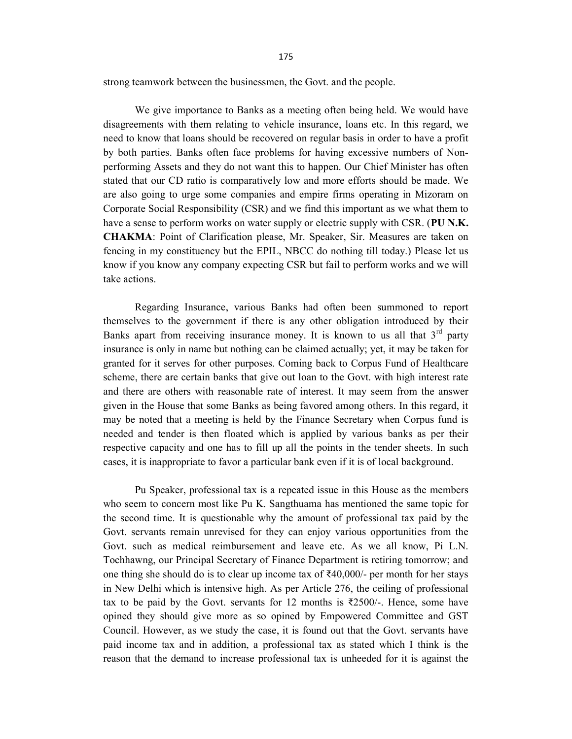strong teamwork between the businessmen, the Govt. and the people.

 We give importance to Banks as a meeting often being held. We would have disagreements with them relating to vehicle insurance, loans etc. In this regard, we need to know that loans should be recovered on regular basis in order to have a profit by both parties. Banks often face problems for having excessive numbers of Nonperforming Assets and they do not want this to happen. Our Chief Minister has often stated that our CD ratio is comparatively low and more efforts should be made. We are also going to urge some companies and empire firms operating in Mizoram on Corporate Social Responsibility (CSR) and we find this important as we what them to have a sense to perform works on water supply or electric supply with CSR. (PU N.K.) CHAKMA: Point of Clarification please, Mr. Speaker, Sir. Measures are taken on fencing in my constituency but the EPIL, NBCC do nothing till today.) Please let us know if you know any company expecting CSR but fail to perform works and we will take actions.

 Regarding Insurance, various Banks had often been summoned to report themselves to the government if there is any other obligation introduced by their Banks apart from receiving insurance money. It is known to us all that  $3<sup>rd</sup>$  party insurance is only in name but nothing can be claimed actually; yet, it may be taken for granted for it serves for other purposes. Coming back to Corpus Fund of Healthcare scheme, there are certain banks that give out loan to the Govt. with high interest rate and there are others with reasonable rate of interest. It may seem from the answer given in the House that some Banks as being favored among others. In this regard, it may be noted that a meeting is held by the Finance Secretary when Corpus fund is needed and tender is then floated which is applied by various banks as per their respective capacity and one has to fill up all the points in the tender sheets. In such cases, it is inappropriate to favor a particular bank even if it is of local background.

 Pu Speaker, professional tax is a repeated issue in this House as the members who seem to concern most like Pu K. Sangthuama has mentioned the same topic for the second time. It is questionable why the amount of professional tax paid by the Govt. servants remain unrevised for they can enjoy various opportunities from the Govt. such as medical reimbursement and leave etc. As we all know, Pi L.N. Tochhawng, our Principal Secretary of Finance Department is retiring tomorrow; and one thing she should do is to clear up income tax of  $\text{\textdegree}40,000/$ - per month for her stays in New Delhi which is intensive high. As per Article 276, the ceiling of professional tax to be paid by the Govt. servants for 12 months is  $\overline{\xi}$ 2500/-. Hence, some have opined they should give more as so opined by Empowered Committee and GST Council. However, as we study the case, it is found out that the Govt. servants have paid income tax and in addition, a professional tax as stated which I think is the reason that the demand to increase professional tax is unheeded for it is against the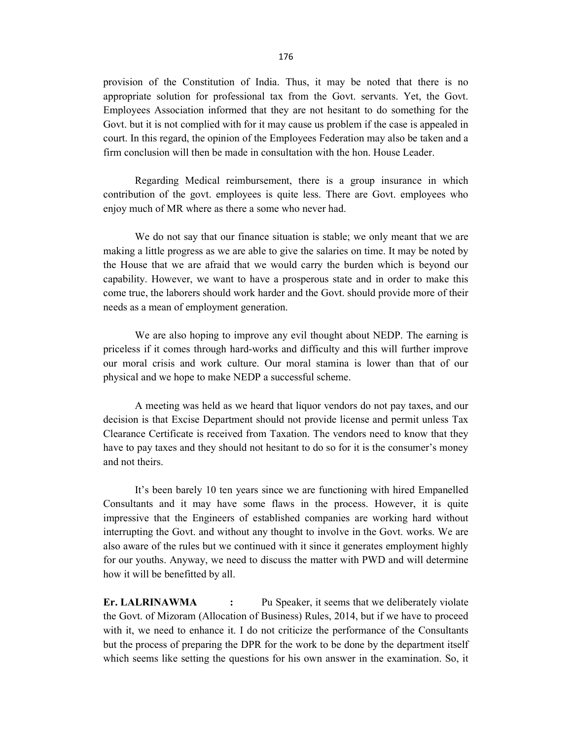provision of the Constitution of India. Thus, it may be noted that there is no appropriate solution for professional tax from the Govt. servants. Yet, the Govt. Employees Association informed that they are not hesitant to do something for the Govt. but it is not complied with for it may cause us problem if the case is appealed in court. In this regard, the opinion of the Employees Federation may also be taken and a firm conclusion will then be made in consultation with the hon. House Leader.

 Regarding Medical reimbursement, there is a group insurance in which contribution of the govt. employees is quite less. There are Govt. employees who enjoy much of MR where as there a some who never had.

 We do not say that our finance situation is stable; we only meant that we are making a little progress as we are able to give the salaries on time. It may be noted by the House that we are afraid that we would carry the burden which is beyond our capability. However, we want to have a prosperous state and in order to make this come true, the laborers should work harder and the Govt. should provide more of their needs as a mean of employment generation.

 We are also hoping to improve any evil thought about NEDP. The earning is priceless if it comes through hard-works and difficulty and this will further improve our moral crisis and work culture. Our moral stamina is lower than that of our physical and we hope to make NEDP a successful scheme.

 A meeting was held as we heard that liquor vendors do not pay taxes, and our decision is that Excise Department should not provide license and permit unless Tax Clearance Certificate is received from Taxation. The vendors need to know that they have to pay taxes and they should not hesitant to do so for it is the consumer's money and not theirs.

 It's been barely 10 ten years since we are functioning with hired Empanelled Consultants and it may have some flaws in the process. However, it is quite impressive that the Engineers of established companies are working hard without interrupting the Govt. and without any thought to involve in the Govt. works. We are also aware of the rules but we continued with it since it generates employment highly for our youths. Anyway, we need to discuss the matter with PWD and will determine how it will be benefitted by all.

Er. LALRINAWMA : Pu Speaker, it seems that we deliberately violate the Govt. of Mizoram (Allocation of Business) Rules, 2014, but if we have to proceed with it, we need to enhance it. I do not criticize the performance of the Consultants but the process of preparing the DPR for the work to be done by the department itself which seems like setting the questions for his own answer in the examination. So, it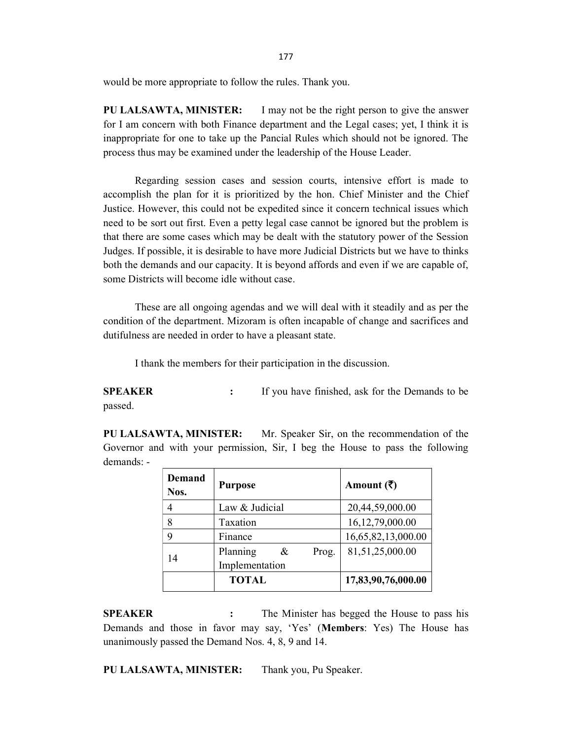would be more appropriate to follow the rules. Thank you.

PU LALSAWTA, MINISTER: I may not be the right person to give the answer for I am concern with both Finance department and the Legal cases; yet, I think it is inappropriate for one to take up the Pancial Rules which should not be ignored. The process thus may be examined under the leadership of the House Leader.

 Regarding session cases and session courts, intensive effort is made to accomplish the plan for it is prioritized by the hon. Chief Minister and the Chief Justice. However, this could not be expedited since it concern technical issues which need to be sort out first. Even a petty legal case cannot be ignored but the problem is that there are some cases which may be dealt with the statutory power of the Session Judges. If possible, it is desirable to have more Judicial Districts but we have to thinks both the demands and our capacity. It is beyond affords and even if we are capable of, some Districts will become idle without case.

 These are all ongoing agendas and we will deal with it steadily and as per the condition of the department. Mizoram is often incapable of change and sacrifices and dutifulness are needed in order to have a pleasant state.

I thank the members for their participation in the discussion.

**SPEAKER** : If you have finished, ask for the Demands to be passed.

PU LALSAWTA, MINISTER: Mr. Speaker Sir, on the recommendation of the Governor and with your permission, Sir, I beg the House to pass the following demands: -

| <b>Demand</b><br>Nos. | <b>Purpose</b>                           | Amount $(\bar{\zeta})$ |
|-----------------------|------------------------------------------|------------------------|
| 4                     | Law & Judicial                           | 20,44,59,000.00        |
| 8                     | Taxation                                 | 16,12,79,000.00        |
| 9                     | Finance                                  | 16,65,82,13,000.00     |
| 14                    | Planning<br>Prog.<br>&<br>Implementation | 81,51,25,000.00        |
|                       | <b>TOTAL</b>                             | 17,83,90,76,000.00     |

**SPEAKER** : The Minister has begged the House to pass his Demands and those in favor may say, 'Yes' (Members: Yes) The House has unanimously passed the Demand Nos. 4, 8, 9 and 14.

PU LALSAWTA, MINISTER: Thank you, Pu Speaker.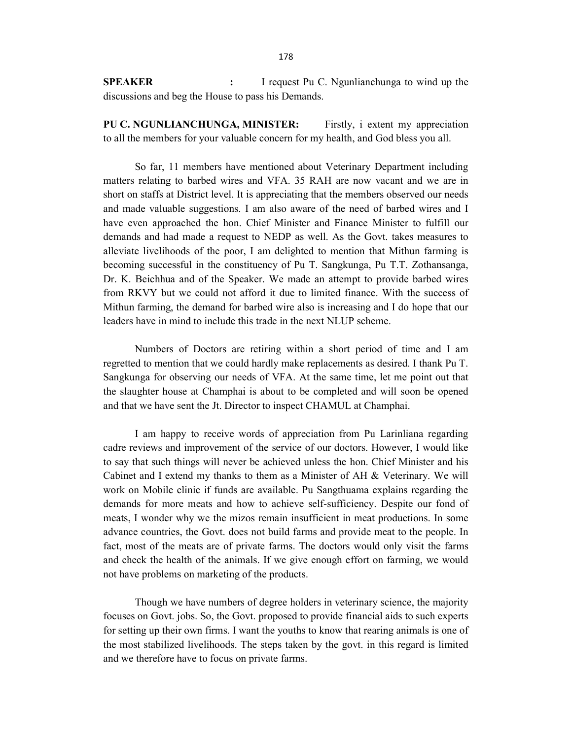SPEAKER : I request Pu C. Ngunlianchunga to wind up the discussions and beg the House to pass his Demands.

PU C. NGUNLIANCHUNGA, MINISTER: Firstly, i extent my appreciation to all the members for your valuable concern for my health, and God bless you all.

 So far, 11 members have mentioned about Veterinary Department including matters relating to barbed wires and VFA. 35 RAH are now vacant and we are in short on staffs at District level. It is appreciating that the members observed our needs and made valuable suggestions. I am also aware of the need of barbed wires and I have even approached the hon. Chief Minister and Finance Minister to fulfill our demands and had made a request to NEDP as well. As the Govt. takes measures to alleviate livelihoods of the poor, I am delighted to mention that Mithun farming is becoming successful in the constituency of Pu T. Sangkunga, Pu T.T. Zothansanga, Dr. K. Beichhua and of the Speaker. We made an attempt to provide barbed wires from RKVY but we could not afford it due to limited finance. With the success of Mithun farming, the demand for barbed wire also is increasing and I do hope that our leaders have in mind to include this trade in the next NLUP scheme.

 Numbers of Doctors are retiring within a short period of time and I am regretted to mention that we could hardly make replacements as desired. I thank Pu T. Sangkunga for observing our needs of VFA. At the same time, let me point out that the slaughter house at Champhai is about to be completed and will soon be opened and that we have sent the Jt. Director to inspect CHAMUL at Champhai.

 I am happy to receive words of appreciation from Pu Larinliana regarding cadre reviews and improvement of the service of our doctors. However, I would like to say that such things will never be achieved unless the hon. Chief Minister and his Cabinet and I extend my thanks to them as a Minister of AH & Veterinary. We will work on Mobile clinic if funds are available. Pu Sangthuama explains regarding the demands for more meats and how to achieve self-sufficiency. Despite our fond of meats, I wonder why we the mizos remain insufficient in meat productions. In some advance countries, the Govt. does not build farms and provide meat to the people. In fact, most of the meats are of private farms. The doctors would only visit the farms and check the health of the animals. If we give enough effort on farming, we would not have problems on marketing of the products.

 Though we have numbers of degree holders in veterinary science, the majority focuses on Govt. jobs. So, the Govt. proposed to provide financial aids to such experts for setting up their own firms. I want the youths to know that rearing animals is one of the most stabilized livelihoods. The steps taken by the govt. in this regard is limited and we therefore have to focus on private farms.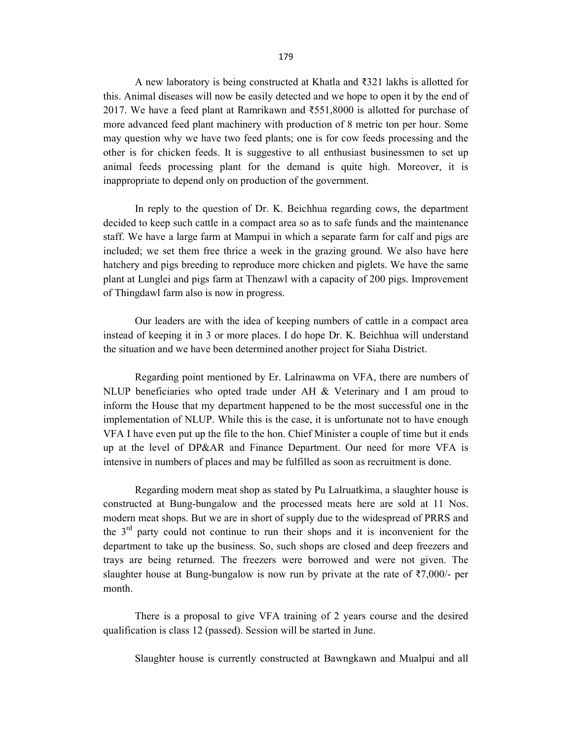A new laboratory is being constructed at Khatla and ₹321 lakhs is allotted for this. Animal diseases will now be easily detected and we hope to open it by the end of 2017. We have a feed plant at Ramrikawn and ₹551,8000 is allotted for purchase of more advanced feed plant machinery with production of 8 metric ton per hour. Some may question why we have two feed plants; one is for cow feeds processing and the other is for chicken feeds. It is suggestive to all enthusiast businessmen to set up animal feeds processing plant for the demand is quite high. Moreover, it is inappropriate to depend only on production of the government.

 In reply to the question of Dr. K. Beichhua regarding cows, the department decided to keep such cattle in a compact area so as to safe funds and the maintenance staff. We have a large farm at Mampui in which a separate farm for calf and pigs are included; we set them free thrice a week in the grazing ground. We also have here hatchery and pigs breeding to reproduce more chicken and piglets. We have the same plant at Lunglei and pigs farm at Thenzawl with a capacity of 200 pigs. Improvement of Thingdawl farm also is now in progress.

 Our leaders are with the idea of keeping numbers of cattle in a compact area instead of keeping it in 3 or more places. I do hope Dr. K. Beichhua will understand the situation and we have been determined another project for Siaha District.

 Regarding point mentioned by Er. Lalrinawma on VFA, there are numbers of NLUP beneficiaries who opted trade under  $AH &$  Veterinary and I am proud to inform the House that my department happened to be the most successful one in the implementation of NLUP. While this is the case, it is unfortunate not to have enough VFA I have even put up the file to the hon. Chief Minister a couple of time but it ends up at the level of DP&AR and Finance Department. Our need for more VFA is intensive in numbers of places and may be fulfilled as soon as recruitment is done.

 Regarding modern meat shop as stated by Pu Lalruatkima, a slaughter house is constructed at Bung-bungalow and the processed meats here are sold at 11 Nos. modern meat shops. But we are in short of supply due to the widespread of PRRS and the  $3<sup>rd</sup>$  party could not continue to run their shops and it is inconvenient for the department to take up the business. So, such shops are closed and deep freezers and trays are being returned. The freezers were borrowed and were not given. The slaughter house at Bung-bungalow is now run by private at the rate of  $\overline{\xi}$ 7,000/- per month.

 There is a proposal to give VFA training of 2 years course and the desired qualification is class 12 (passed). Session will be started in June.

Slaughter house is currently constructed at Bawngkawn and Mualpui and all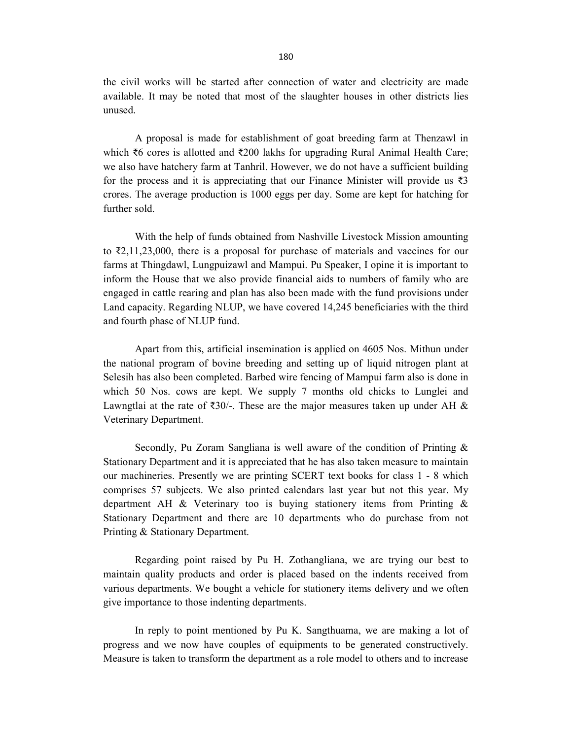the civil works will be started after connection of water and electricity are made available. It may be noted that most of the slaughter houses in other districts lies unused.

 A proposal is made for establishment of goat breeding farm at Thenzawl in which ₹6 cores is allotted and ₹200 lakhs for upgrading Rural Animal Health Care; we also have hatchery farm at Tanhril. However, we do not have a sufficient building for the process and it is appreciating that our Finance Minister will provide us  $\bar{\mathfrak{Z}}_3$ crores. The average production is 1000 eggs per day. Some are kept for hatching for further sold.

 With the help of funds obtained from Nashville Livestock Mission amounting to ₹2,11,23,000, there is a proposal for purchase of materials and vaccines for our farms at Thingdawl, Lungpuizawl and Mampui. Pu Speaker, I opine it is important to inform the House that we also provide financial aids to numbers of family who are engaged in cattle rearing and plan has also been made with the fund provisions under Land capacity. Regarding NLUP, we have covered 14,245 beneficiaries with the third and fourth phase of NLUP fund.

 Apart from this, artificial insemination is applied on 4605 Nos. Mithun under the national program of bovine breeding and setting up of liquid nitrogen plant at Selesih has also been completed. Barbed wire fencing of Mampui farm also is done in which 50 Nos. cows are kept. We supply 7 months old chicks to Lunglei and Lawngtlai at the rate of ₹30/-. These are the major measures taken up under AH & Veterinary Department.

 Secondly, Pu Zoram Sangliana is well aware of the condition of Printing & Stationary Department and it is appreciated that he has also taken measure to maintain our machineries. Presently we are printing SCERT text books for class 1 - 8 which comprises 57 subjects. We also printed calendars last year but not this year. My department AH & Veterinary too is buying stationery items from Printing & Stationary Department and there are 10 departments who do purchase from not Printing & Stationary Department.

 Regarding point raised by Pu H. Zothangliana, we are trying our best to maintain quality products and order is placed based on the indents received from various departments. We bought a vehicle for stationery items delivery and we often give importance to those indenting departments.

 In reply to point mentioned by Pu K. Sangthuama, we are making a lot of progress and we now have couples of equipments to be generated constructively. Measure is taken to transform the department as a role model to others and to increase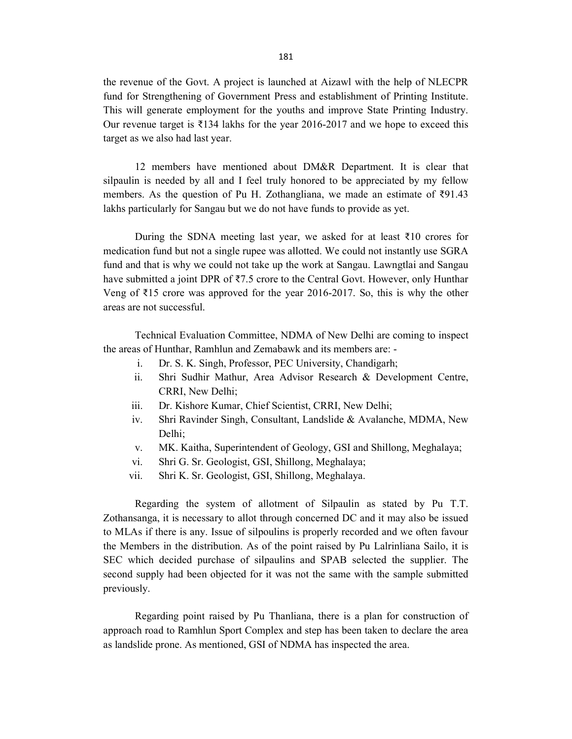the revenue of the Govt. A project is launched at Aizawl with the help of NLECPR fund for Strengthening of Government Press and establishment of Printing Institute. This will generate employment for the youths and improve State Printing Industry. Our revenue target is  $\overline{\xi}$ 134 lakhs for the year 2016-2017 and we hope to exceed this target as we also had last year.

 12 members have mentioned about DM&R Department. It is clear that silpaulin is needed by all and I feel truly honored to be appreciated by my fellow members. As the question of Pu H. Zothangliana, we made an estimate of ₹91.43 lakhs particularly for Sangau but we do not have funds to provide as yet.

During the SDNA meeting last year, we asked for at least  $\bar{\tau}10$  crores for medication fund but not a single rupee was allotted. We could not instantly use SGRA fund and that is why we could not take up the work at Sangau. Lawngtlai and Sangau have submitted a joint DPR of ₹7.5 crore to the Central Govt. However, only Hunthar Veng of ₹15 crore was approved for the year 2016-2017. So, this is why the other areas are not successful.

 Technical Evaluation Committee, NDMA of New Delhi are coming to inspect the areas of Hunthar, Ramhlun and Zemabawk and its members are: -

- i. Dr. S. K. Singh, Professor, PEC University, Chandigarh;
- ii. Shri Sudhir Mathur, Area Advisor Research & Development Centre, CRRI, New Delhi;
- iii. Dr. Kishore Kumar, Chief Scientist, CRRI, New Delhi;
- iv. Shri Ravinder Singh, Consultant, Landslide & Avalanche, MDMA, New Delhi;
- v. MK. Kaitha, Superintendent of Geology, GSI and Shillong, Meghalaya;
- vi. Shri G. Sr. Geologist, GSI, Shillong, Meghalaya;
- vii. Shri K. Sr. Geologist, GSI, Shillong, Meghalaya.

 Regarding the system of allotment of Silpaulin as stated by Pu T.T. Zothansanga, it is necessary to allot through concerned DC and it may also be issued to MLAs if there is any. Issue of silpoulins is properly recorded and we often favour the Members in the distribution. As of the point raised by Pu Lalrinliana Sailo, it is SEC which decided purchase of silpaulins and SPAB selected the supplier. The second supply had been objected for it was not the same with the sample submitted previously.

 Regarding point raised by Pu Thanliana, there is a plan for construction of approach road to Ramhlun Sport Complex and step has been taken to declare the area as landslide prone. As mentioned, GSI of NDMA has inspected the area.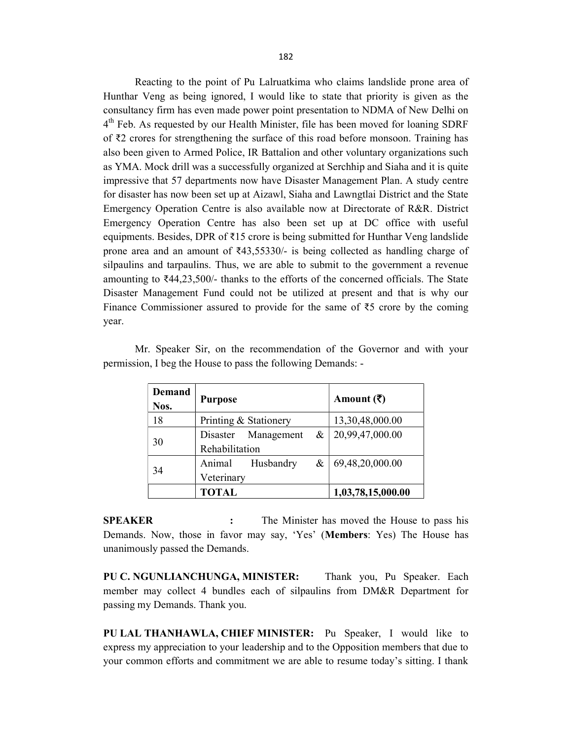Reacting to the point of Pu Lalruatkima who claims landslide prone area of Hunthar Veng as being ignored, I would like to state that priority is given as the consultancy firm has even made power point presentation to NDMA of New Delhi on 4<sup>th</sup> Feb. As requested by our Health Minister, file has been moved for loaning SDRF of ₹2 crores for strengthening the surface of this road before monsoon. Training has also been given to Armed Police, IR Battalion and other voluntary organizations such as YMA. Mock drill was a successfully organized at Serchhip and Siaha and it is quite impressive that 57 departments now have Disaster Management Plan. A study centre for disaster has now been set up at Aizawl, Siaha and Lawngtlai District and the State Emergency Operation Centre is also available now at Directorate of R&R. District Emergency Operation Centre has also been set up at DC office with useful equipments. Besides, DPR of ₹15 crore is being submitted for Hunthar Veng landslide prone area and an amount of  $\overline{*}43,55330/-$  is being collected as handling charge of silpaulins and tarpaulins. Thus, we are able to submit to the government a revenue amounting to ₹44,23,500/- thanks to the efforts of the concerned officials. The State Disaster Management Fund could not be utilized at present and that is why our Finance Commissioner assured to provide for the same of ₹5 crore by the coming year.

| <b>Demand</b><br>Nos. | <b>Purpose</b>        |                     |   | Amount $(\bar{\bar{\zeta}})$ |
|-----------------------|-----------------------|---------------------|---|------------------------------|
| 18                    | Printing & Stationery |                     |   | 13,30,48,000.00              |
| 30                    |                       | Disaster Management | & | 20,99,47,000.00              |
|                       | Rehabilitation        |                     |   |                              |
| 34                    | Animal                | Husbandry           | & | 69,48,20,000.00              |
|                       | Veterinary            |                     |   |                              |
|                       | <b>TOTAL</b>          |                     |   | 1,03,78,15,000.00            |

 Mr. Speaker Sir, on the recommendation of the Governor and with your permission, I beg the House to pass the following Demands: -

SPEAKER : The Minister has moved the House to pass his Demands. Now, those in favor may say, 'Yes' (Members: Yes) The House has unanimously passed the Demands.

PU C. NGUNLIANCHUNGA, MINISTER: Thank you, Pu Speaker. Each member may collect 4 bundles each of silpaulins from DM&R Department for passing my Demands. Thank you.

PU LAL THANHAWLA, CHIEF MINISTER: Pu Speaker, I would like to express my appreciation to your leadership and to the Opposition members that due to your common efforts and commitment we are able to resume today's sitting. I thank